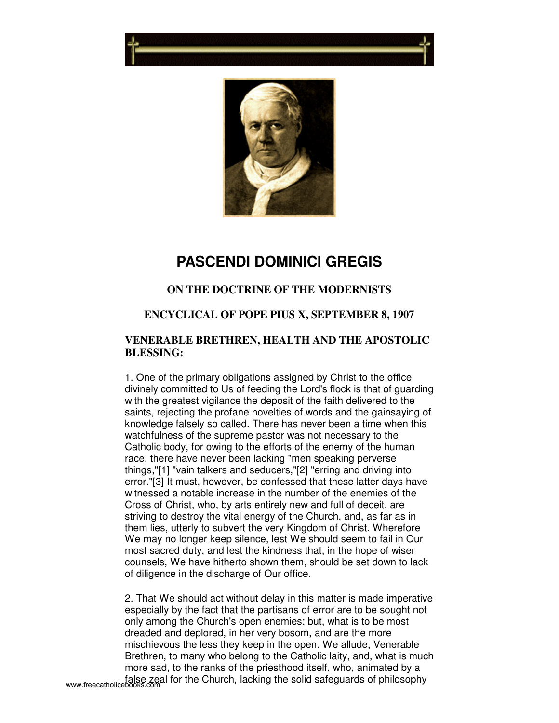

# **PASCENDI DOMINICI GREGIS**

## **ON THE DOCTRINE OF THE MODERNISTS**

### **ENCYCLICAL OF POPE PIUS X, SEPTEMBER 8, 1907**

#### **VENERABLE BRETHREN, HEALTH AND THE APOSTOLIC BLESSING:**

1. One of the primary obligations assigned by Christ to the office divinely committed to Us of feeding the Lord's flock is that of guarding with the greatest vigilance the deposit of the faith delivered to the saints, rejecting the profane novelties of words and the gainsaying of knowledge falsely so called. There has never been a time when this watchfulness of the supreme pastor was not necessary to the Catholic body, for owing to the efforts of the enemy of the human race, there have never been lacking "men speaking perverse things,"[1] "vain talkers and seducers,"[2] "erring and driving into error."[3] It must, however, be confessed that these latter days have witnessed a notable increase in the number of the enemies of the Cross of Christ, who, by arts entirely new and full of deceit, are striving to destroy the vital energy of the Church, and, as far as in them lies, utterly to subvert the very Kingdom of Christ. Wherefore We may no longer keep silence, lest We should seem to fail in Our most sacred duty, and lest the kindness that, in the hope of wiser counsels, We have hitherto shown them, should be set down to lack of diligence in the discharge of Our office.

2. That We should act without delay in this matter is made imperative especially by the fact that the partisans of error are to be sought not only among the Church's open enemies; but, what is to be most dreaded and deplored, in her very bosom, and are the more mischievous the less they keep in the open. We allude, Venerable Brethren, to many who belong to the Catholic laity, and, what is much more sad, to the ranks of the priesthood itself, who, animated by a false zeal for the Church, lacking the solid safeguards of philosophy www.freecatholicebooks.com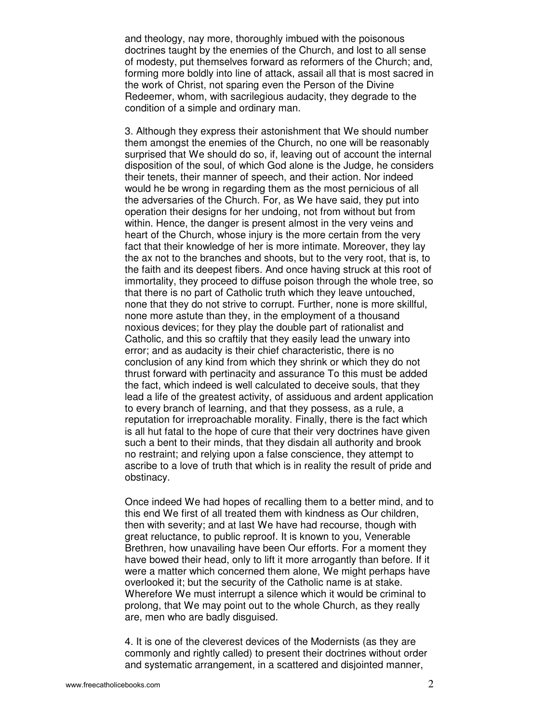and theology, nay more, thoroughly imbued with the poisonous doctrines taught by the enemies of the Church, and lost to all sense of modesty, put themselves forward as reformers of the Church; and, forming more boldly into line of attack, assail all that is most sacred in the work of Christ, not sparing even the Person of the Divine Redeemer, whom, with sacrilegious audacity, they degrade to the condition of a simple and ordinary man.

3. Although they express their astonishment that We should number them amongst the enemies of the Church, no one will be reasonably surprised that We should do so, if, leaving out of account the internal disposition of the soul, of which God alone is the Judge, he considers their tenets, their manner of speech, and their action. Nor indeed would he be wrong in regarding them as the most pernicious of all the adversaries of the Church. For, as We have said, they put into operation their designs for her undoing, not from without but from within. Hence, the danger is present almost in the very veins and heart of the Church, whose injury is the more certain from the very fact that their knowledge of her is more intimate. Moreover, they lay the ax not to the branches and shoots, but to the very root, that is, to the faith and its deepest fibers. And once having struck at this root of immortality, they proceed to diffuse poison through the whole tree, so that there is no part of Catholic truth which they leave untouched, none that they do not strive to corrupt. Further, none is more skillful, none more astute than they, in the employment of a thousand noxious devices; for they play the double part of rationalist and Catholic, and this so craftily that they easily lead the unwary into error; and as audacity is their chief characteristic, there is no conclusion of any kind from which they shrink or which they do not thrust forward with pertinacity and assurance To this must be added the fact, which indeed is well calculated to deceive souls, that they lead a life of the greatest activity, of assiduous and ardent application to every branch of learning, and that they possess, as a rule, a reputation for irreproachable morality. Finally, there is the fact which is all hut fatal to the hope of cure that their very doctrines have given such a bent to their minds, that they disdain all authority and brook no restraint; and relying upon a false conscience, they attempt to ascribe to a love of truth that which is in reality the result of pride and obstinacy.

Once indeed We had hopes of recalling them to a better mind, and to this end We first of all treated them with kindness as Our children, then with severity; and at last We have had recourse, though with great reluctance, to public reproof. It is known to you, Venerable Brethren, how unavailing have been Our efforts. For a moment they have bowed their head, only to lift it more arrogantly than before. If it were a matter which concerned them alone, We might perhaps have overlooked it; but the security of the Catholic name is at stake. Wherefore We must interrupt a silence which it would be criminal to prolong, that We may point out to the whole Church, as they really are, men who are badly disguised.

4. It is one of the cleverest devices of the Modernists (as they are commonly and rightly called) to present their doctrines without order and systematic arrangement, in a scattered and disjointed manner,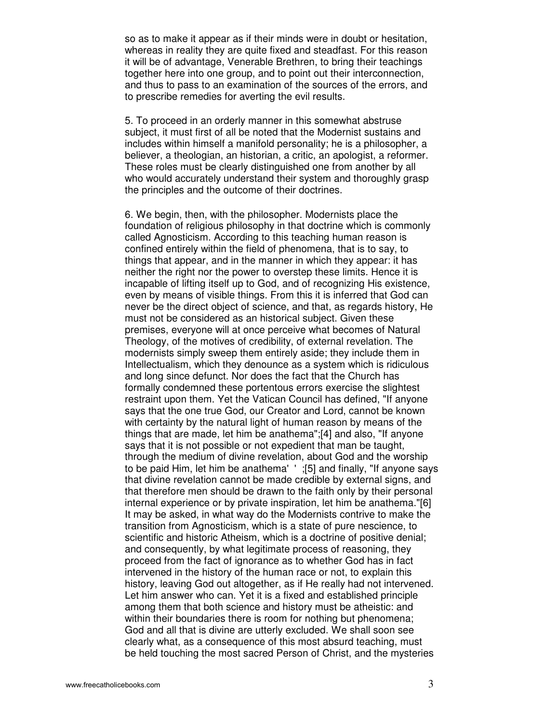so as to make it appear as if their minds were in doubt or hesitation, whereas in reality they are quite fixed and steadfast. For this reason it will be of advantage, Venerable Brethren, to bring their teachings together here into one group, and to point out their interconnection, and thus to pass to an examination of the sources of the errors, and to prescribe remedies for averting the evil results.

5. To proceed in an orderly manner in this somewhat abstruse subject, it must first of all be noted that the Modernist sustains and includes within himself a manifold personality; he is a philosopher, a believer, a theologian, an historian, a critic, an apologist, a reformer. These roles must be clearly distinguished one from another by all who would accurately understand their system and thoroughly grasp the principles and the outcome of their doctrines.

6. We begin, then, with the philosopher. Modernists place the foundation of religious philosophy in that doctrine which is commonly called Agnosticism. According to this teaching human reason is confined entirely within the field of phenomena, that is to say, to things that appear, and in the manner in which they appear: it has neither the right nor the power to overstep these limits. Hence it is incapable of lifting itself up to God, and of recognizing His existence, even by means of visible things. From this it is inferred that God can never be the direct object of science, and that, as regards history, He must not be considered as an historical subject. Given these premises, everyone will at once perceive what becomes of Natural Theology, of the motives of credibility, of external revelation. The modernists simply sweep them entirely aside; they include them in Intellectualism, which they denounce as a system which is ridiculous and long since defunct. Nor does the fact that the Church has formally condemned these portentous errors exercise the slightest restraint upon them. Yet the Vatican Council has defined, "If anyone says that the one true God, our Creator and Lord, cannot be known with certainty by the natural light of human reason by means of the things that are made, let him be anathema";[4] and also, "If anyone says that it is not possible or not expedient that man be taught, through the medium of divine revelation, about God and the worship to be paid Him, let him be anathema''; [5] and finally, "If anyone says that divine revelation cannot be made credible by external signs, and that therefore men should be drawn to the faith only by their personal internal experience or by private inspiration, let him be anathema."[6] It may be asked, in what way do the Modernists contrive to make the transition from Agnosticism, which is a state of pure nescience, to scientific and historic Atheism, which is a doctrine of positive denial; and consequently, by what legitimate process of reasoning, they proceed from the fact of ignorance as to whether God has in fact intervened in the history of the human race or not, to explain this history, leaving God out altogether, as if He really had not intervened. Let him answer who can. Yet it is a fixed and established principle among them that both science and history must be atheistic: and within their boundaries there is room for nothing but phenomena; God and all that is divine are utterly excluded. We shall soon see clearly what, as a consequence of this most absurd teaching, must be held touching the most sacred Person of Christ, and the mysteries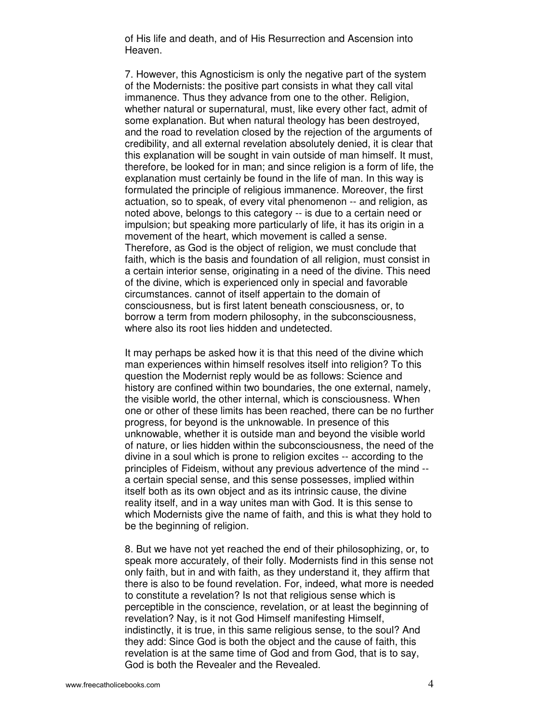of His life and death, and of His Resurrection and Ascension into Heaven.

7. However, this Agnosticism is only the negative part of the system of the Modernists: the positive part consists in what they call vital immanence. Thus they advance from one to the other. Religion, whether natural or supernatural, must, like every other fact, admit of some explanation. But when natural theology has been destroyed, and the road to revelation closed by the rejection of the arguments of credibility, and all external revelation absolutely denied, it is clear that this explanation will be sought in vain outside of man himself. It must, therefore, be looked for in man; and since religion is a form of life, the explanation must certainly be found in the life of man. In this way is formulated the principle of religious immanence. Moreover, the first actuation, so to speak, of every vital phenomenon -- and religion, as noted above, belongs to this category -- is due to a certain need or impulsion; but speaking more particularly of life, it has its origin in a movement of the heart, which movement is called a sense. Therefore, as God is the object of religion, we must conclude that faith, which is the basis and foundation of all religion, must consist in a certain interior sense, originating in a need of the divine. This need of the divine, which is experienced only in special and favorable circumstances. cannot of itself appertain to the domain of consciousness, but is first latent beneath consciousness, or, to borrow a term from modern philosophy, in the subconsciousness, where also its root lies hidden and undetected.

It may perhaps be asked how it is that this need of the divine which man experiences within himself resolves itself into religion? To this question the Modernist reply would be as follows: Science and history are confined within two boundaries, the one external, namely, the visible world, the other internal, which is consciousness. When one or other of these limits has been reached, there can be no further progress, for beyond is the unknowable. In presence of this unknowable, whether it is outside man and beyond the visible world of nature, or lies hidden within the subconsciousness, the need of the divine in a soul which is prone to religion excites -- according to the principles of Fideism, without any previous advertence of the mind - a certain special sense, and this sense possesses, implied within itself both as its own object and as its intrinsic cause, the divine reality itself, and in a way unites man with God. It is this sense to which Modernists give the name of faith, and this is what they hold to be the beginning of religion.

8. But we have not yet reached the end of their philosophizing, or, to speak more accurately, of their folly. Modernists find in this sense not only faith, but in and with faith, as they understand it, they affirm that there is also to be found revelation. For, indeed, what more is needed to constitute a revelation? Is not that religious sense which is perceptible in the conscience, revelation, or at least the beginning of revelation? Nay, is it not God Himself manifesting Himself, indistinctly, it is true, in this same religious sense, to the soul? And they add: Since God is both the object and the cause of faith, this revelation is at the same time of God and from God, that is to say, God is both the Revealer and the Revealed.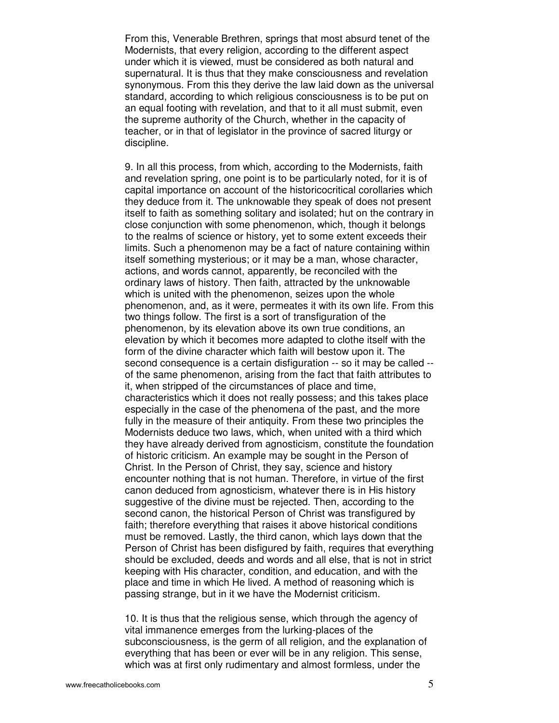From this, Venerable Brethren, springs that most absurd tenet of the Modernists, that every religion, according to the different aspect under which it is viewed, must be considered as both natural and supernatural. It is thus that they make consciousness and revelation synonymous. From this they derive the law laid down as the universal standard, according to which religious consciousness is to be put on an equal footing with revelation, and that to it all must submit, even the supreme authority of the Church, whether in the capacity of teacher, or in that of legislator in the province of sacred liturgy or discipline.

9. In all this process, from which, according to the Modernists, faith and revelation spring, one point is to be particularly noted, for it is of capital importance on account of the historicocritical corollaries which they deduce from it. The unknowable they speak of does not present itself to faith as something solitary and isolated; hut on the contrary in close conjunction with some phenomenon, which, though it belongs to the realms of science or history, yet to some extent exceeds their limits. Such a phenomenon may be a fact of nature containing within itself something mysterious; or it may be a man, whose character, actions, and words cannot, apparently, be reconciled with the ordinary laws of history. Then faith, attracted by the unknowable which is united with the phenomenon, seizes upon the whole phenomenon, and, as it were, permeates it with its own life. From this two things follow. The first is a sort of transfiguration of the phenomenon, by its elevation above its own true conditions, an elevation by which it becomes more adapted to clothe itself with the form of the divine character which faith will bestow upon it. The second consequence is a certain disfiguration -- so it may be called - of the same phenomenon, arising from the fact that faith attributes to it, when stripped of the circumstances of place and time, characteristics which it does not really possess; and this takes place especially in the case of the phenomena of the past, and the more fully in the measure of their antiquity. From these two principles the Modernists deduce two laws, which, when united with a third which they have already derived from agnosticism, constitute the foundation of historic criticism. An example may be sought in the Person of Christ. In the Person of Christ, they say, science and history encounter nothing that is not human. Therefore, in virtue of the first canon deduced from agnosticism, whatever there is in His history suggestive of the divine must be rejected. Then, according to the second canon, the historical Person of Christ was transfigured by faith; therefore everything that raises it above historical conditions must be removed. Lastly, the third canon, which lays down that the Person of Christ has been disfigured by faith, requires that everything should be excluded, deeds and words and all else, that is not in strict keeping with His character, condition, and education, and with the place and time in which He lived. A method of reasoning which is passing strange, but in it we have the Modernist criticism.

10. It is thus that the religious sense, which through the agency of vital immanence emerges from the lurking-places of the subconsciousness, is the germ of all religion, and the explanation of everything that has been or ever will be in any religion. This sense, which was at first only rudimentary and almost formless, under the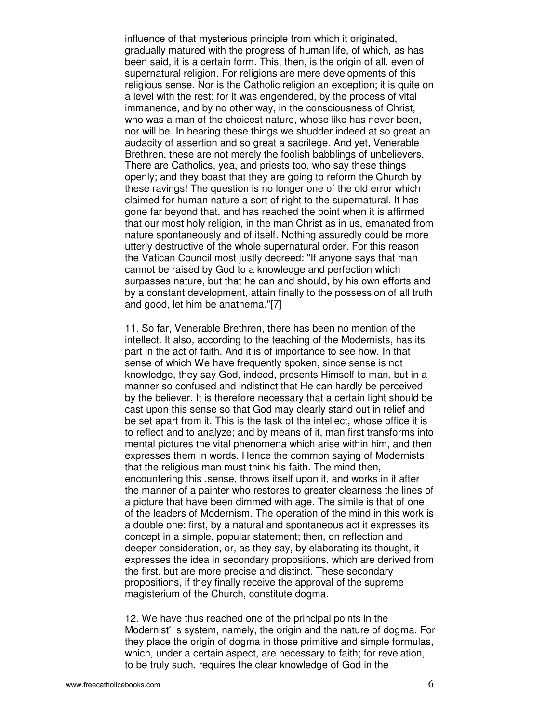influence of that mysterious principle from which it originated, gradually matured with the progress of human life, of which, as has been said, it is a certain form. This, then, is the origin of all. even of supernatural religion. For religions are mere developments of this religious sense. Nor is the Catholic religion an exception; it is quite on a level with the rest; for it was engendered, by the process of vital immanence, and by no other way, in the consciousness of Christ, who was a man of the choicest nature, whose like has never been, nor will be. In hearing these things we shudder indeed at so great an audacity of assertion and so great a sacrilege. And yet, Venerable Brethren, these are not merely the foolish babblings of unbelievers. There are Catholics, yea, and priests too, who say these things openly; and they boast that they are going to reform the Church by these ravings! The question is no longer one of the old error which claimed for human nature a sort of right to the supernatural. It has gone far beyond that, and has reached the point when it is affirmed that our most holy religion, in the man Christ as in us, emanated from nature spontaneously and of itself. Nothing assuredly could be more utterly destructive of the whole supernatural order. For this reason the Vatican Council most justly decreed: "If anyone says that man cannot be raised by God to a knowledge and perfection which surpasses nature, but that he can and should, by his own efforts and by a constant development, attain finally to the possession of all truth and good, let him be anathema."[7]

11. So far, Venerable Brethren, there has been no mention of the intellect. It also, according to the teaching of the Modernists, has its part in the act of faith. And it is of importance to see how. In that sense of which We have frequently spoken, since sense is not knowledge, they say God, indeed, presents Himself to man, but in a manner so confused and indistinct that He can hardly be perceived by the believer. It is therefore necessary that a certain light should be cast upon this sense so that God may clearly stand out in relief and be set apart from it. This is the task of the intellect, whose office it is to reflect and to analyze; and by means of it, man first transforms into mental pictures the vital phenomena which arise within him, and then expresses them in words. Hence the common saying of Modernists: that the religious man must think his faith. The mind then, encountering this .sense, throws itself upon it, and works in it after the manner of a painter who restores to greater clearness the lines of a picture that have been dimmed with age. The simile is that of one of the leaders of Modernism. The operation of the mind in this work is a double one: first, by a natural and spontaneous act it expresses its concept in a simple, popular statement; then, on reflection and deeper consideration, or, as they say, by elaborating its thought, it expresses the idea in secondary propositions, which are derived from the first, but are more precise and distinct. These secondary propositions, if they finally receive the approval of the supreme magisterium of the Church, constitute dogma.

12. We have thus reached one of the principal points in the Modernist's system, namely, the origin and the nature of dogma. For they place the origin of dogma in those primitive and simple formulas, which, under a certain aspect, are necessary to faith; for revelation, to be truly such, requires the clear knowledge of God in the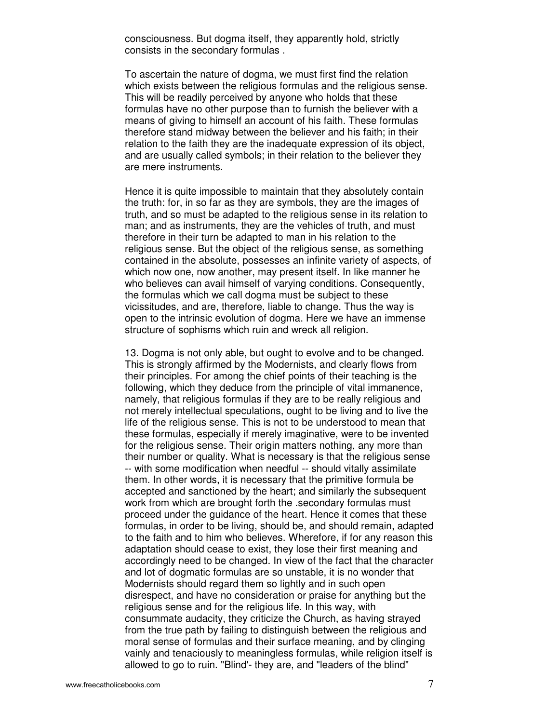consciousness. But dogma itself, they apparently hold, strictly consists in the secondary formulas .

To ascertain the nature of dogma, we must first find the relation which exists between the religious formulas and the religious sense. This will be readily perceived by anyone who holds that these formulas have no other purpose than to furnish the believer with a means of giving to himself an account of his faith. These formulas therefore stand midway between the believer and his faith; in their relation to the faith they are the inadequate expression of its object, and are usually called symbols; in their relation to the believer they are mere instruments.

Hence it is quite impossible to maintain that they absolutely contain the truth: for, in so far as they are symbols, they are the images of truth, and so must be adapted to the religious sense in its relation to man; and as instruments, they are the vehicles of truth, and must therefore in their turn be adapted to man in his relation to the religious sense. But the object of the religious sense, as something contained in the absolute, possesses an infinite variety of aspects, of which now one, now another, may present itself. In like manner he who believes can avail himself of varying conditions. Consequently, the formulas which we call dogma must be subject to these vicissitudes, and are, therefore, liable to change. Thus the way is open to the intrinsic evolution of dogma. Here we have an immense structure of sophisms which ruin and wreck all religion.

13. Dogma is not only able, but ought to evolve and to be changed. This is strongly affirmed by the Modernists, and clearly flows from their principles. For among the chief points of their teaching is the following, which they deduce from the principle of vital immanence, namely, that religious formulas if they are to be really religious and not merely intellectual speculations, ought to be living and to live the life of the religious sense. This is not to be understood to mean that these formulas, especially if merely imaginative, were to be invented for the religious sense. Their origin matters nothing, any more than their number or quality. What is necessary is that the religious sense -- with some modification when needful -- should vitally assimilate them. In other words, it is necessary that the primitive formula be accepted and sanctioned by the heart; and similarly the subsequent work from which are brought forth the .secondary formulas must proceed under the guidance of the heart. Hence it comes that these formulas, in order to be living, should be, and should remain, adapted to the faith and to him who believes. Wherefore, if for any reason this adaptation should cease to exist, they lose their first meaning and accordingly need to be changed. In view of the fact that the character and lot of dogmatic formulas are so unstable, it is no wonder that Modernists should regard them so lightly and in such open disrespect, and have no consideration or praise for anything but the religious sense and for the religious life. In this way, with consummate audacity, they criticize the Church, as having strayed from the true path by failing to distinguish between the religious and moral sense of formulas and their surface meaning, and by clinging vainly and tenaciously to meaningless formulas, while religion itself is allowed to go to ruin. "Blind'- they are, and "leaders of the blind"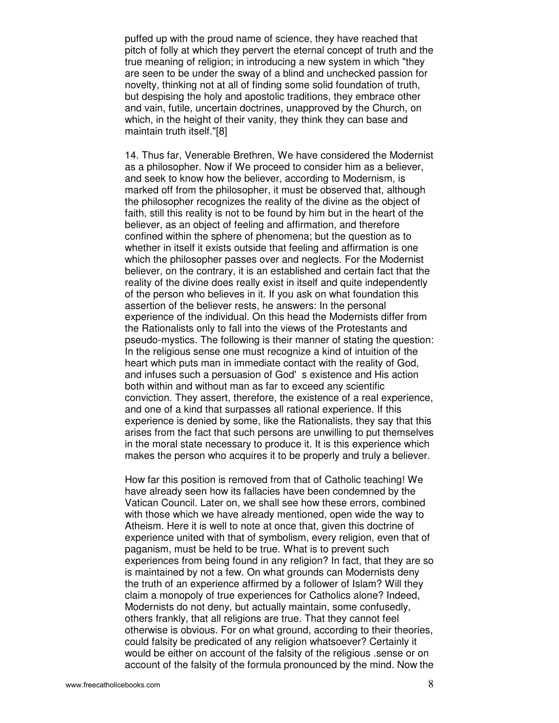puffed up with the proud name of science, they have reached that pitch of folly at which they pervert the eternal concept of truth and the true meaning of religion; in introducing a new system in which "they are seen to be under the sway of a blind and unchecked passion for novelty, thinking not at all of finding some solid foundation of truth, but despising the holy and apostolic traditions, they embrace other and vain, futile, uncertain doctrines, unapproved by the Church, on which, in the height of their vanity, they think they can base and maintain truth itself."[8]

14. Thus far, Venerable Brethren, We have considered the Modernist as a philosopher. Now if We proceed to consider him as a believer, and seek to know how the believer, according to Modernism, is marked off from the philosopher, it must be observed that, although the philosopher recognizes the reality of the divine as the object of faith, still this reality is not to be found by him but in the heart of the believer, as an object of feeling and affirmation, and therefore confined within the sphere of phenomena; but the question as to whether in itself it exists outside that feeling and affirmation is one which the philosopher passes over and neglects. For the Modernist believer, on the contrary, it is an established and certain fact that the reality of the divine does really exist in itself and quite independently of the person who believes in it. If you ask on what foundation this assertion of the believer rests, he answers: In the personal experience of the individual. On this head the Modernists differ from the Rationalists only to fall into the views of the Protestants and pseudo-mystics. The following is their manner of stating the question: In the religious sense one must recognize a kind of intuition of the heart which puts man in immediate contact with the reality of God, and infuses such a persuasion of God's existence and His action both within and without man as far to exceed any scientific conviction. They assert, therefore, the existence of a real experience, and one of a kind that surpasses all rational experience. If this experience is denied by some, like the Rationalists, they say that this arises from the fact that such persons are unwilling to put themselves in the moral state necessary to produce it. It is this experience which makes the person who acquires it to be properly and truly a believer.

How far this position is removed from that of Catholic teaching! We have already seen how its fallacies have been condemned by the Vatican Council. Later on, we shall see how these errors, combined with those which we have already mentioned, open wide the way to Atheism. Here it is well to note at once that, given this doctrine of experience united with that of symbolism, every religion, even that of paganism, must be held to be true. What is to prevent such experiences from being found in any religion? In fact, that they are so is maintained by not a few. On what grounds can Modernists deny the truth of an experience affirmed by a follower of Islam? Will they claim a monopoly of true experiences for Catholics alone? Indeed, Modernists do not deny, but actually maintain, some confusedly, others frankly, that all religions are true. That they cannot feel otherwise is obvious. For on what ground, according to their theories, could falsity be predicated of any religion whatsoever? Certainly it would be either on account of the falsity of the religious .sense or on account of the falsity of the formula pronounced by the mind. Now the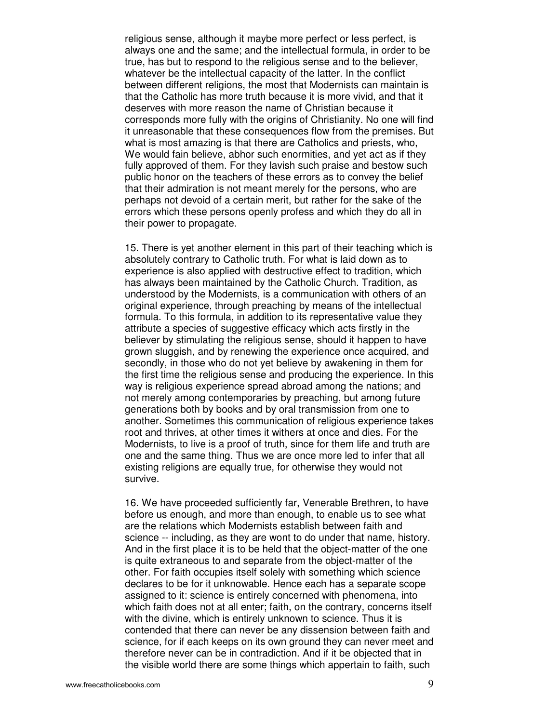religious sense, although it maybe more perfect or less perfect, is always one and the same; and the intellectual formula, in order to be true, has but to respond to the religious sense and to the believer, whatever be the intellectual capacity of the latter. In the conflict between different religions, the most that Modernists can maintain is that the Catholic has more truth because it is more vivid, and that it deserves with more reason the name of Christian because it corresponds more fully with the origins of Christianity. No one will find it unreasonable that these consequences flow from the premises. But what is most amazing is that there are Catholics and priests, who, We would fain believe, abhor such enormities, and yet act as if they fully approved of them. For they lavish such praise and bestow such public honor on the teachers of these errors as to convey the belief that their admiration is not meant merely for the persons, who are perhaps not devoid of a certain merit, but rather for the sake of the errors which these persons openly profess and which they do all in their power to propagate.

15. There is yet another element in this part of their teaching which is absolutely contrary to Catholic truth. For what is laid down as to experience is also applied with destructive effect to tradition, which has always been maintained by the Catholic Church. Tradition, as understood by the Modernists, is a communication with others of an original experience, through preaching by means of the intellectual formula. To this formula, in addition to its representative value they attribute a species of suggestive efficacy which acts firstly in the believer by stimulating the religious sense, should it happen to have grown sluggish, and by renewing the experience once acquired, and secondly, in those who do not yet believe by awakening in them for the first time the religious sense and producing the experience. In this way is religious experience spread abroad among the nations; and not merely among contemporaries by preaching, but among future generations both by books and by oral transmission from one to another. Sometimes this communication of religious experience takes root and thrives, at other times it withers at once and dies. For the Modernists, to live is a proof of truth, since for them life and truth are one and the same thing. Thus we are once more led to infer that all existing religions are equally true, for otherwise they would not survive.

16. We have proceeded sufficiently far, Venerable Brethren, to have before us enough, and more than enough, to enable us to see what are the relations which Modernists establish between faith and science -- including, as they are wont to do under that name, history. And in the first place it is to be held that the object-matter of the one is quite extraneous to and separate from the object-matter of the other. For faith occupies itself solely with something which science declares to be for it unknowable. Hence each has a separate scope assigned to it: science is entirely concerned with phenomena, into which faith does not at all enter; faith, on the contrary, concerns itself with the divine, which is entirely unknown to science. Thus it is contended that there can never be any dissension between faith and science, for if each keeps on its own ground they can never meet and therefore never can be in contradiction. And if it be objected that in the visible world there are some things which appertain to faith, such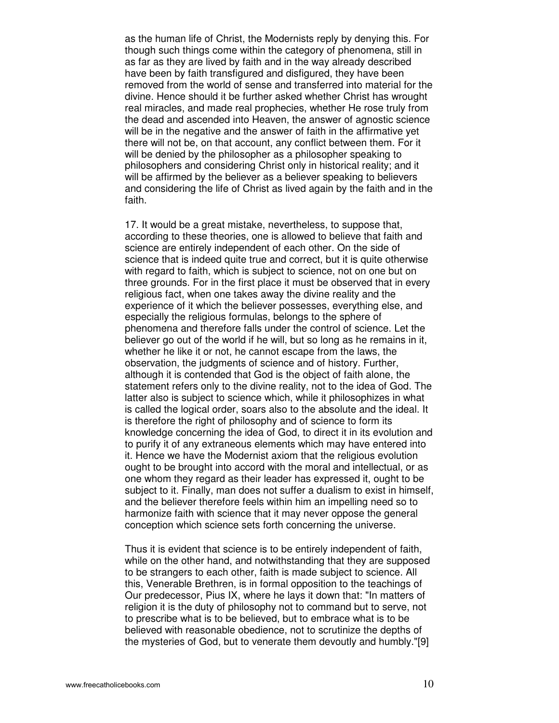as the human life of Christ, the Modernists reply by denying this. For though such things come within the category of phenomena, still in as far as they are lived by faith and in the way already described have been by faith transfigured and disfigured, they have been removed from the world of sense and transferred into material for the divine. Hence should it be further asked whether Christ has wrought real miracles, and made real prophecies, whether He rose truly from the dead and ascended into Heaven, the answer of agnostic science will be in the negative and the answer of faith in the affirmative yet there will not be, on that account, any conflict between them. For it will be denied by the philosopher as a philosopher speaking to philosophers and considering Christ only in historical reality; and it will be affirmed by the believer as a believer speaking to believers and considering the life of Christ as lived again by the faith and in the faith.

17. It would be a great mistake, nevertheless, to suppose that, according to these theories, one is allowed to believe that faith and science are entirely independent of each other. On the side of science that is indeed quite true and correct, but it is quite otherwise with regard to faith, which is subject to science, not on one but on three grounds. For in the first place it must be observed that in every religious fact, when one takes away the divine reality and the experience of it which the believer possesses, everything else, and especially the religious formulas, belongs to the sphere of phenomena and therefore falls under the control of science. Let the believer go out of the world if he will, but so long as he remains in it, whether he like it or not, he cannot escape from the laws, the observation, the judgments of science and of history. Further, although it is contended that God is the object of faith alone, the statement refers only to the divine reality, not to the idea of God. The latter also is subject to science which, while it philosophizes in what is called the logical order, soars also to the absolute and the ideal. It is therefore the right of philosophy and of science to form its knowledge concerning the idea of God, to direct it in its evolution and to purify it of any extraneous elements which may have entered into it. Hence we have the Modernist axiom that the religious evolution ought to be brought into accord with the moral and intellectual, or as one whom they regard as their leader has expressed it, ought to be subject to it. Finally, man does not suffer a dualism to exist in himself, and the believer therefore feels within him an impelling need so to harmonize faith with science that it may never oppose the general conception which science sets forth concerning the universe.

Thus it is evident that science is to be entirely independent of faith, while on the other hand, and notwithstanding that they are supposed to be strangers to each other, faith is made subject to science. All this, Venerable Brethren, is in formal opposition to the teachings of Our predecessor, Pius IX, where he lays it down that: "In matters of religion it is the duty of philosophy not to command but to serve, not to prescribe what is to be believed, but to embrace what is to be believed with reasonable obedience, not to scrutinize the depths of the mysteries of God, but to venerate them devoutly and humbly."[9]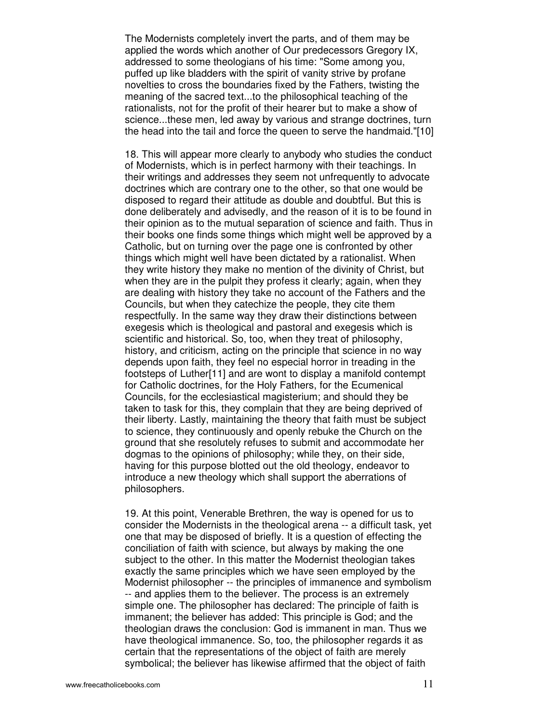The Modernists completely invert the parts, and of them may be applied the words which another of Our predecessors Gregory IX, addressed to some theologians of his time: "Some among you, puffed up like bladders with the spirit of vanity strive by profane novelties to cross the boundaries fixed by the Fathers, twisting the meaning of the sacred text...to the philosophical teaching of the rationalists, not for the profit of their hearer but to make a show of science...these men, led away by various and strange doctrines, turn the head into the tail and force the queen to serve the handmaid."[10]

18. This will appear more clearly to anybody who studies the conduct of Modernists, which is in perfect harmony with their teachings. In their writings and addresses they seem not unfrequently to advocate doctrines which are contrary one to the other, so that one would be disposed to regard their attitude as double and doubtful. But this is done deliberately and advisedly, and the reason of it is to be found in their opinion as to the mutual separation of science and faith. Thus in their books one finds some things which might well be approved by a Catholic, but on turning over the page one is confronted by other things which might well have been dictated by a rationalist. When they write history they make no mention of the divinity of Christ, but when they are in the pulpit they profess it clearly; again, when they are dealing with history they take no account of the Fathers and the Councils, but when they catechize the people, they cite them respectfully. In the same way they draw their distinctions between exegesis which is theological and pastoral and exegesis which is scientific and historical. So, too, when they treat of philosophy, history, and criticism, acting on the principle that science in no way depends upon faith, they feel no especial horror in treading in the footsteps of Luther[11] and are wont to display a manifold contempt for Catholic doctrines, for the Holy Fathers, for the Ecumenical Councils, for the ecclesiastical magisterium; and should they be taken to task for this, they complain that they are being deprived of their liberty. Lastly, maintaining the theory that faith must be subject to science, they continuously and openly rebuke the Church on the ground that she resolutely refuses to submit and accommodate her dogmas to the opinions of philosophy; while they, on their side, having for this purpose blotted out the old theology, endeavor to introduce a new theology which shall support the aberrations of philosophers.

19. At this point, Venerable Brethren, the way is opened for us to consider the Modernists in the theological arena -- a difficult task, yet one that may be disposed of briefly. It is a question of effecting the conciliation of faith with science, but always by making the one subject to the other. In this matter the Modernist theologian takes exactly the same principles which we have seen employed by the Modernist philosopher -- the principles of immanence and symbolism -- and applies them to the believer. The process is an extremely simple one. The philosopher has declared: The principle of faith is immanent; the believer has added: This principle is God; and the theologian draws the conclusion: God is immanent in man. Thus we have theological immanence. So, too, the philosopher regards it as certain that the representations of the object of faith are merely symbolical; the believer has likewise affirmed that the object of faith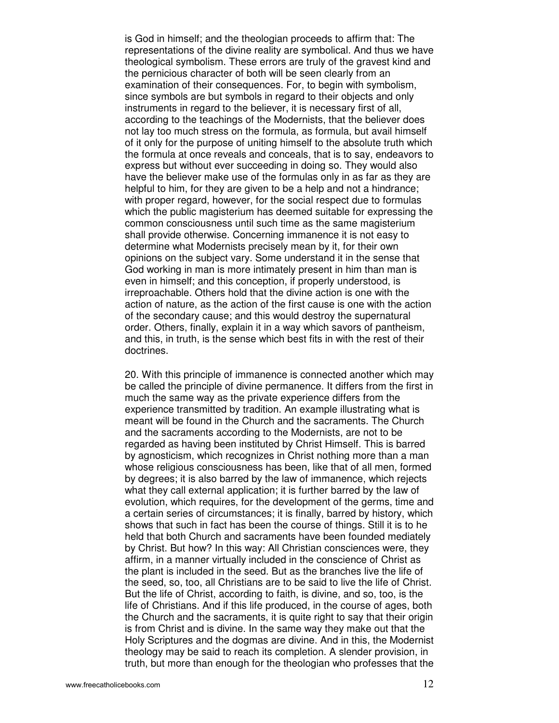is God in himself; and the theologian proceeds to affirm that: The representations of the divine reality are symbolical. And thus we have theological symbolism. These errors are truly of the gravest kind and the pernicious character of both will be seen clearly from an examination of their consequences. For, to begin with symbolism, since symbols are but symbols in regard to their objects and only instruments in regard to the believer, it is necessary first of all, according to the teachings of the Modernists, that the believer does not lay too much stress on the formula, as formula, but avail himself of it only for the purpose of uniting himself to the absolute truth which the formula at once reveals and conceals, that is to say, endeavors to express but without ever succeeding in doing so. They would also have the believer make use of the formulas only in as far as they are helpful to him, for they are given to be a help and not a hindrance; with proper regard, however, for the social respect due to formulas which the public magisterium has deemed suitable for expressing the common consciousness until such time as the same magisterium shall provide otherwise. Concerning immanence it is not easy to determine what Modernists precisely mean by it, for their own opinions on the subject vary. Some understand it in the sense that God working in man is more intimately present in him than man is even in himself; and this conception, if properly understood, is irreproachable. Others hold that the divine action is one with the action of nature, as the action of the first cause is one with the action of the secondary cause; and this would destroy the supernatural order. Others, finally, explain it in a way which savors of pantheism, and this, in truth, is the sense which best fits in with the rest of their doctrines.

20. With this principle of immanence is connected another which may be called the principle of divine permanence. It differs from the first in much the same way as the private experience differs from the experience transmitted by tradition. An example illustrating what is meant will be found in the Church and the sacraments. The Church and the sacraments according to the Modernists, are not to be regarded as having been instituted by Christ Himself. This is barred by agnosticism, which recognizes in Christ nothing more than a man whose religious consciousness has been, like that of all men, formed by degrees; it is also barred by the law of immanence, which rejects what they call external application; it is further barred by the law of evolution, which requires, for the development of the germs, time and a certain series of circumstances; it is finally, barred by history, which shows that such in fact has been the course of things. Still it is to he held that both Church and sacraments have been founded mediately by Christ. But how? In this way: All Christian consciences were, they affirm, in a manner virtually included in the conscience of Christ as the plant is included in the seed. But as the branches live the life of the seed, so, too, all Christians are to be said to live the life of Christ. But the life of Christ, according to faith, is divine, and so, too, is the life of Christians. And if this life produced, in the course of ages, both the Church and the sacraments, it is quite right to say that their origin is from Christ and is divine. In the same way they make out that the Holy Scriptures and the dogmas are divine. And in this, the Modernist theology may be said to reach its completion. A slender provision, in truth, but more than enough for the theologian who professes that the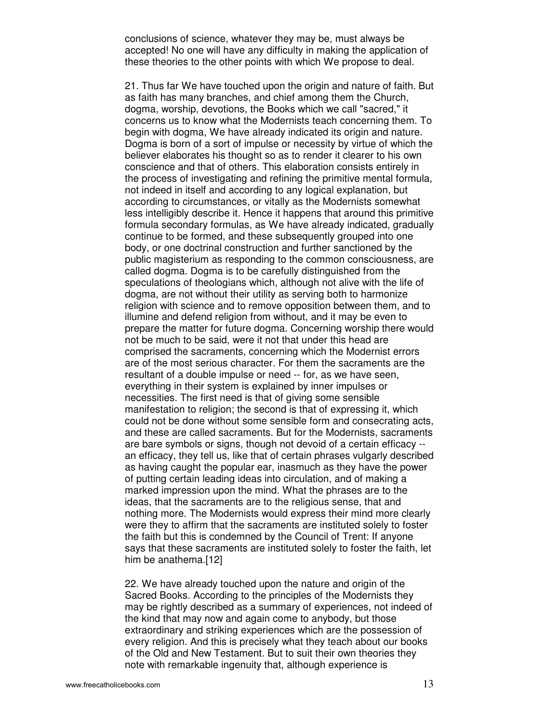conclusions of science, whatever they may be, must always be accepted! No one will have any difficulty in making the application of these theories to the other points with which We propose to deal.

21. Thus far We have touched upon the origin and nature of faith. But as faith has many branches, and chief among them the Church, dogma, worship, devotions, the Books which we call "sacred," it concerns us to know what the Modernists teach concerning them. To begin with dogma, We have already indicated its origin and nature. Dogma is born of a sort of impulse or necessity by virtue of which the believer elaborates his thought so as to render it clearer to his own conscience and that of others. This elaboration consists entirely in the process of investigating and refining the primitive mental formula, not indeed in itself and according to any logical explanation, but according to circumstances, or vitally as the Modernists somewhat less intelligibly describe it. Hence it happens that around this primitive formula secondary formulas, as We have already indicated, gradually continue to be formed, and these subsequently grouped into one body, or one doctrinal construction and further sanctioned by the public magisterium as responding to the common consciousness, are called dogma. Dogma is to be carefully distinguished from the speculations of theologians which, although not alive with the life of dogma, are not without their utility as serving both to harmonize religion with science and to remove opposition between them, and to illumine and defend religion from without, and it may be even to prepare the matter for future dogma. Concerning worship there would not be much to be said, were it not that under this head are comprised the sacraments, concerning which the Modernist errors are of the most serious character. For them the sacraments are the resultant of a double impulse or need -- for, as we have seen, everything in their system is explained by inner impulses or necessities. The first need is that of giving some sensible manifestation to religion; the second is that of expressing it, which could not be done without some sensible form and consecrating acts, and these are called sacraments. But for the Modernists, sacraments are bare symbols or signs, though not devoid of a certain efficacy - an efficacy, they tell us, like that of certain phrases vulgarly described as having caught the popular ear, inasmuch as they have the power of putting certain leading ideas into circulation, and of making a marked impression upon the mind. What the phrases are to the ideas, that the sacraments are to the religious sense, that and nothing more. The Modernists would express their mind more clearly were they to affirm that the sacraments are instituted solely to foster the faith but this is condemned by the Council of Trent: If anyone says that these sacraments are instituted solely to foster the faith, let him be anathema.[12]

22. We have already touched upon the nature and origin of the Sacred Books. According to the principles of the Modernists they may be rightly described as a summary of experiences, not indeed of the kind that may now and again come to anybody, but those extraordinary and striking experiences which are the possession of every religion. And this is precisely what they teach about our books of the Old and New Testament. But to suit their own theories they note with remarkable ingenuity that, although experience is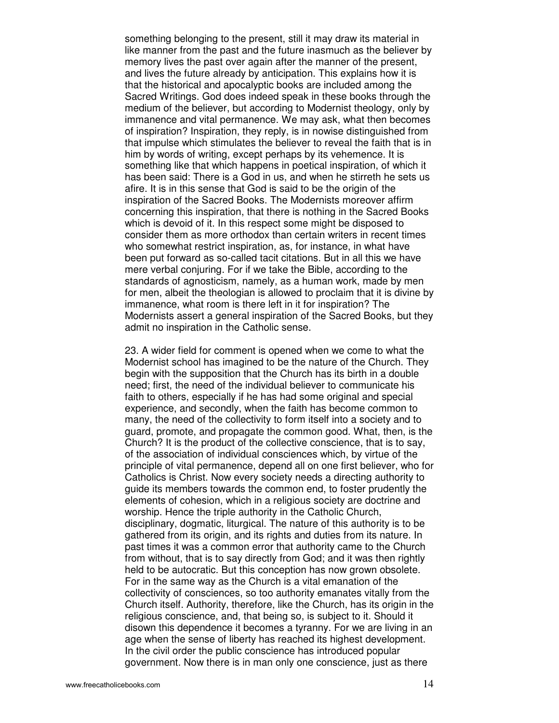something belonging to the present, still it may draw its material in like manner from the past and the future inasmuch as the believer by memory lives the past over again after the manner of the present, and lives the future already by anticipation. This explains how it is that the historical and apocalyptic books are included among the Sacred Writings. God does indeed speak in these books through the medium of the believer, but according to Modernist theology, only by immanence and vital permanence. We may ask, what then becomes of inspiration? Inspiration, they reply, is in nowise distinguished from that impulse which stimulates the believer to reveal the faith that is in him by words of writing, except perhaps by its vehemence. It is something like that which happens in poetical inspiration, of which it has been said: There is a God in us, and when he stirreth he sets us afire. It is in this sense that God is said to be the origin of the inspiration of the Sacred Books. The Modernists moreover affirm concerning this inspiration, that there is nothing in the Sacred Books which is devoid of it. In this respect some might be disposed to consider them as more orthodox than certain writers in recent times who somewhat restrict inspiration, as, for instance, in what have been put forward as so-called tacit citations. But in all this we have mere verbal conjuring. For if we take the Bible, according to the standards of agnosticism, namely, as a human work, made by men for men, albeit the theologian is allowed to proclaim that it is divine by immanence, what room is there left in it for inspiration? The Modernists assert a general inspiration of the Sacred Books, but they admit no inspiration in the Catholic sense.

23. A wider field for comment is opened when we come to what the Modernist school has imagined to be the nature of the Church. They begin with the supposition that the Church has its birth in a double need; first, the need of the individual believer to communicate his faith to others, especially if he has had some original and special experience, and secondly, when the faith has become common to many, the need of the collectivity to form itself into a society and to guard, promote, and propagate the common good. What, then, is the Church? It is the product of the collective conscience, that is to say, of the association of individual consciences which, by virtue of the principle of vital permanence, depend all on one first believer, who for Catholics is Christ. Now every society needs a directing authority to guide its members towards the common end, to foster prudently the elements of cohesion, which in a religious society are doctrine and worship. Hence the triple authority in the Catholic Church, disciplinary, dogmatic, liturgical. The nature of this authority is to be gathered from its origin, and its rights and duties from its nature. In past times it was a common error that authority came to the Church from without, that is to say directly from God; and it was then rightly held to be autocratic. But this conception has now grown obsolete. For in the same way as the Church is a vital emanation of the collectivity of consciences, so too authority emanates vitally from the Church itself. Authority, therefore, like the Church, has its origin in the religious conscience, and, that being so, is subject to it. Should it disown this dependence it becomes a tyranny. For we are living in an age when the sense of liberty has reached its highest development. In the civil order the public conscience has introduced popular government. Now there is in man only one conscience, just as there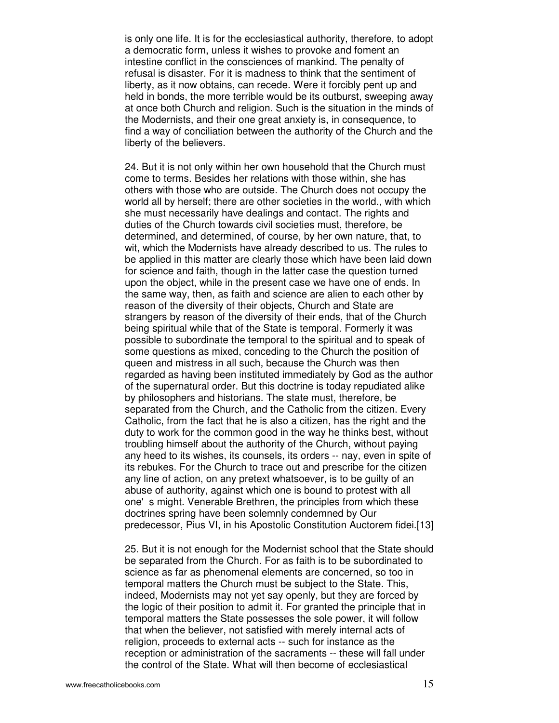is only one life. It is for the ecclesiastical authority, therefore, to adopt a democratic form, unless it wishes to provoke and foment an intestine conflict in the consciences of mankind. The penalty of refusal is disaster. For it is madness to think that the sentiment of liberty, as it now obtains, can recede. Were it forcibly pent up and held in bonds, the more terrible would be its outburst, sweeping away at once both Church and religion. Such is the situation in the minds of the Modernists, and their one great anxiety is, in consequence, to find a way of conciliation between the authority of the Church and the liberty of the believers.

24. But it is not only within her own household that the Church must come to terms. Besides her relations with those within, she has others with those who are outside. The Church does not occupy the world all by herself; there are other societies in the world., with which she must necessarily have dealings and contact. The rights and duties of the Church towards civil societies must, therefore, be determined, and determined, of course, by her own nature, that, to wit, which the Modernists have already described to us. The rules to be applied in this matter are clearly those which have been laid down for science and faith, though in the latter case the question turned upon the object, while in the present case we have one of ends. In the same way, then, as faith and science are alien to each other by reason of the diversity of their objects, Church and State are strangers by reason of the diversity of their ends, that of the Church being spiritual while that of the State is temporal. Formerly it was possible to subordinate the temporal to the spiritual and to speak of some questions as mixed, conceding to the Church the position of queen and mistress in all such, because the Church was then regarded as having been instituted immediately by God as the author of the supernatural order. But this doctrine is today repudiated alike by philosophers and historians. The state must, therefore, be separated from the Church, and the Catholic from the citizen. Every Catholic, from the fact that he is also a citizen, has the right and the duty to work for the common good in the way he thinks best, without troubling himself about the authority of the Church, without paying any heed to its wishes, its counsels, its orders -- nay, even in spite of its rebukes. For the Church to trace out and prescribe for the citizen any line of action, on any pretext whatsoever, is to be guilty of an abuse of authority, against which one is bound to protest with all one's might. Venerable Brethren, the principles from which these doctrines spring have been solemnly condemned by Our predecessor, Pius VI, in his Apostolic Constitution Auctorem fidei.[13]

25. But it is not enough for the Modernist school that the State should be separated from the Church. For as faith is to be subordinated to science as far as phenomenal elements are concerned, so too in temporal matters the Church must be subject to the State. This, indeed, Modernists may not yet say openly, but they are forced by the logic of their position to admit it. For granted the principle that in temporal matters the State possesses the sole power, it will follow that when the believer, not satisfied with merely internal acts of religion, proceeds to external acts -- such for instance as the reception or administration of the sacraments -- these will fall under the control of the State. What will then become of ecclesiastical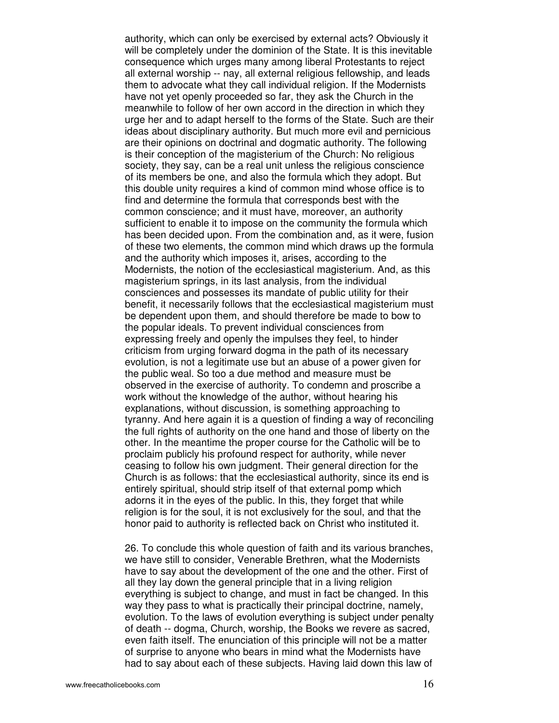authority, which can only be exercised by external acts? Obviously it will be completely under the dominion of the State. It is this inevitable consequence which urges many among liberal Protestants to reject all external worship -- nay, all external religious fellowship, and leads them to advocate what they call individual religion. If the Modernists have not yet openly proceeded so far, they ask the Church in the meanwhile to follow of her own accord in the direction in which they urge her and to adapt herself to the forms of the State. Such are their ideas about disciplinary authority. But much more evil and pernicious are their opinions on doctrinal and dogmatic authority. The following is their conception of the magisterium of the Church: No religious society, they say, can be a real unit unless the religious conscience of its members be one, and also the formula which they adopt. But this double unity requires a kind of common mind whose office is to find and determine the formula that corresponds best with the common conscience; and it must have, moreover, an authority sufficient to enable it to impose on the community the formula which has been decided upon. From the combination and, as it were, fusion of these two elements, the common mind which draws up the formula and the authority which imposes it, arises, according to the Modernists, the notion of the ecclesiastical magisterium. And, as this magisterium springs, in its last analysis, from the individual consciences and possesses its mandate of public utility for their benefit, it necessarily follows that the ecclesiastical magisterium must be dependent upon them, and should therefore be made to bow to the popular ideals. To prevent individual consciences from expressing freely and openly the impulses they feel, to hinder criticism from urging forward dogma in the path of its necessary evolution, is not a legitimate use but an abuse of a power given for the public weal. So too a due method and measure must be observed in the exercise of authority. To condemn and proscribe a work without the knowledge of the author, without hearing his explanations, without discussion, is something approaching to tyranny. And here again it is a question of finding a way of reconciling the full rights of authority on the one hand and those of liberty on the other. In the meantime the proper course for the Catholic will be to proclaim publicly his profound respect for authority, while never ceasing to follow his own judgment. Their general direction for the Church is as follows: that the ecclesiastical authority, since its end is entirely spiritual, should strip itself of that external pomp which adorns it in the eyes of the public. In this, they forget that while religion is for the soul, it is not exclusively for the soul, and that the honor paid to authority is reflected back on Christ who instituted it.

26. To conclude this whole question of faith and its various branches, we have still to consider, Venerable Brethren, what the Modernists have to say about the development of the one and the other. First of all they lay down the general principle that in a living religion everything is subject to change, and must in fact be changed. In this way they pass to what is practically their principal doctrine, namely, evolution. To the laws of evolution everything is subject under penalty of death -- dogma, Church, worship, the Books we revere as sacred, even faith itself. The enunciation of this principle will not be a matter of surprise to anyone who bears in mind what the Modernists have had to say about each of these subjects. Having laid down this law of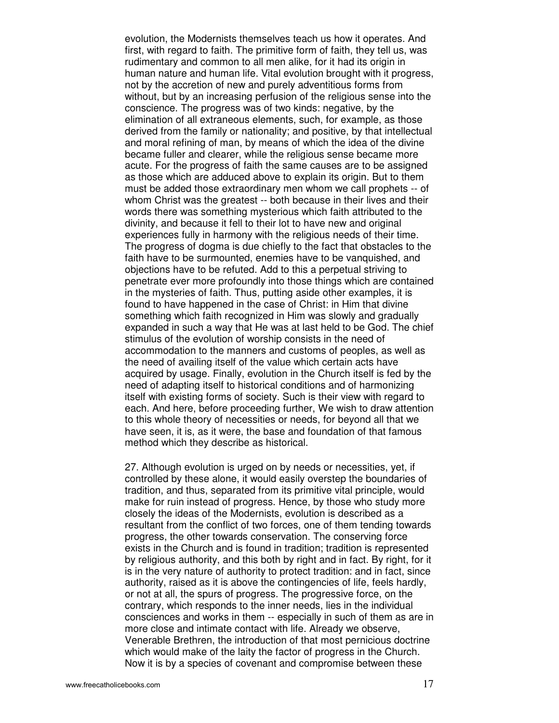evolution, the Modernists themselves teach us how it operates. And first, with regard to faith. The primitive form of faith, they tell us, was rudimentary and common to all men alike, for it had its origin in human nature and human life. Vital evolution brought with it progress, not by the accretion of new and purely adventitious forms from without, but by an increasing perfusion of the religious sense into the conscience. The progress was of two kinds: negative, by the elimination of all extraneous elements, such, for example, as those derived from the family or nationality; and positive, by that intellectual and moral refining of man, by means of which the idea of the divine became fuller and clearer, while the religious sense became more acute. For the progress of faith the same causes are to be assigned as those which are adduced above to explain its origin. But to them must be added those extraordinary men whom we call prophets -- of whom Christ was the greatest -- both because in their lives and their words there was something mysterious which faith attributed to the divinity, and because it fell to their lot to have new and original experiences fully in harmony with the religious needs of their time. The progress of dogma is due chiefly to the fact that obstacles to the faith have to be surmounted, enemies have to be vanquished, and objections have to be refuted. Add to this a perpetual striving to penetrate ever more profoundly into those things which are contained in the mysteries of faith. Thus, putting aside other examples, it is found to have happened in the case of Christ: in Him that divine something which faith recognized in Him was slowly and gradually expanded in such a way that He was at last held to be God. The chief stimulus of the evolution of worship consists in the need of accommodation to the manners and customs of peoples, as well as the need of availing itself of the value which certain acts have acquired by usage. Finally, evolution in the Church itself is fed by the need of adapting itself to historical conditions and of harmonizing itself with existing forms of society. Such is their view with regard to each. And here, before proceeding further, We wish to draw attention to this whole theory of necessities or needs, for beyond all that we have seen, it is, as it were, the base and foundation of that famous method which they describe as historical.

27. Although evolution is urged on by needs or necessities, yet, if controlled by these alone, it would easily overstep the boundaries of tradition, and thus, separated from its primitive vital principle, would make for ruin instead of progress. Hence, by those who study more closely the ideas of the Modernists, evolution is described as a resultant from the conflict of two forces, one of them tending towards progress, the other towards conservation. The conserving force exists in the Church and is found in tradition; tradition is represented by religious authority, and this both by right and in fact. By right, for it is in the very nature of authority to protect tradition: and in fact, since authority, raised as it is above the contingencies of life, feels hardly, or not at all, the spurs of progress. The progressive force, on the contrary, which responds to the inner needs, lies in the individual consciences and works in them -- especially in such of them as are in more close and intimate contact with life. Already we observe, Venerable Brethren, the introduction of that most pernicious doctrine which would make of the laity the factor of progress in the Church. Now it is by a species of covenant and compromise between these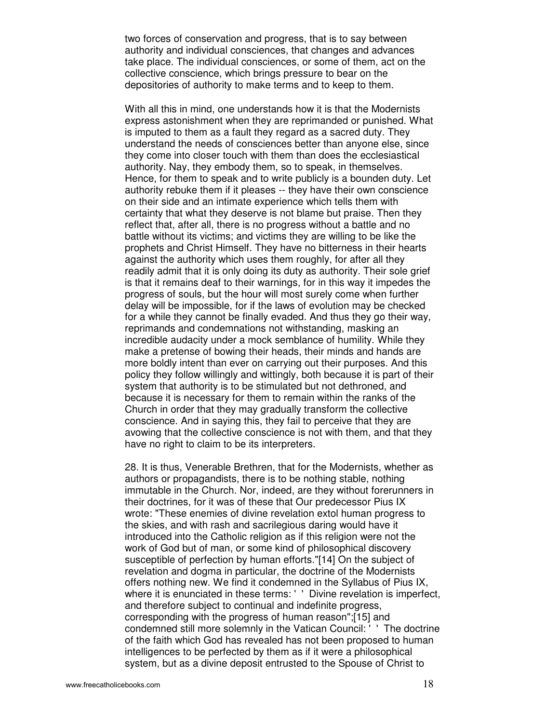two forces of conservation and progress, that is to say between authority and individual consciences, that changes and advances take place. The individual consciences, or some of them, act on the collective conscience, which brings pressure to bear on the depositories of authority to make terms and to keep to them.

With all this in mind, one understands how it is that the Modernists express astonishment when they are reprimanded or punished. What is imputed to them as a fault they regard as a sacred duty. They understand the needs of consciences better than anyone else, since they come into closer touch with them than does the ecclesiastical authority. Nay, they embody them, so to speak, in themselves. Hence, for them to speak and to write publicly is a bounden duty. Let authority rebuke them if it pleases -- they have their own conscience on their side and an intimate experience which tells them with certainty that what they deserve is not blame but praise. Then they reflect that, after all, there is no progress without a battle and no battle without its victims; and victims they are willing to be like the prophets and Christ Himself. They have no bitterness in their hearts against the authority which uses them roughly, for after all they readily admit that it is only doing its duty as authority. Their sole grief is that it remains deaf to their warnings, for in this way it impedes the progress of souls, but the hour will most surely come when further delay will be impossible, for if the laws of evolution may be checked for a while they cannot be finally evaded. And thus they go their way, reprimands and condemnations not withstanding, masking an incredible audacity under a mock semblance of humility. While they make a pretense of bowing their heads, their minds and hands are more boldly intent than ever on carrying out their purposes. And this policy they follow willingly and wittingly, both because it is part of their system that authority is to be stimulated but not dethroned, and because it is necessary for them to remain within the ranks of the Church in order that they may gradually transform the collective conscience. And in saying this, they fail to perceive that they are avowing that the collective conscience is not with them, and that they have no right to claim to be its interpreters.

28. It is thus, Venerable Brethren, that for the Modernists, whether as authors or propagandists, there is to be nothing stable, nothing immutable in the Church. Nor, indeed, are they without forerunners in their doctrines, for it was of these that Our predecessor Pius IX wrote: "These enemies of divine revelation extol human progress to the skies, and with rash and sacrilegious daring would have it introduced into the Catholic religion as if this religion were not the work of God but of man, or some kind of philosophical discovery susceptible of perfection by human efforts."[14] On the subject of revelation and dogma in particular, the doctrine of the Modernists offers nothing new. We find it condemned in the Syllabus of Pius IX, where it is enunciated in these terms: ' ' Divine revelation is imperfect, and therefore subject to continual and indefinite progress, corresponding with the progress of human reason";[15] and condemned still more solemnly in the Vatican Council: ''The doctrine of the faith which God has revealed has not been proposed to human intelligences to be perfected by them as if it were a philosophical system, but as a divine deposit entrusted to the Spouse of Christ to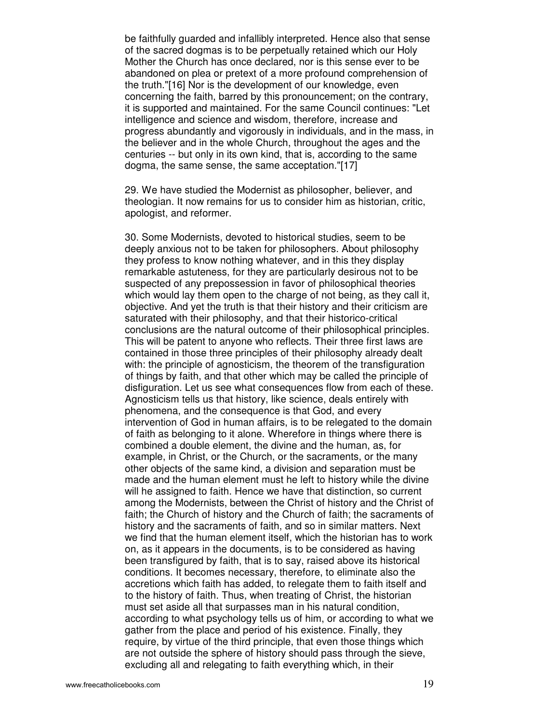be faithfully guarded and infallibly interpreted. Hence also that sense of the sacred dogmas is to be perpetually retained which our Holy Mother the Church has once declared, nor is this sense ever to be abandoned on plea or pretext of a more profound comprehension of the truth."[16] Nor is the development of our knowledge, even concerning the faith, barred by this pronouncement; on the contrary, it is supported and maintained. For the same Council continues: "Let intelligence and science and wisdom, therefore, increase and progress abundantly and vigorously in individuals, and in the mass, in the believer and in the whole Church, throughout the ages and the centuries -- but only in its own kind, that is, according to the same dogma, the same sense, the same acceptation."[17]

29. We have studied the Modernist as philosopher, believer, and theologian. It now remains for us to consider him as historian, critic, apologist, and reformer.

30. Some Modernists, devoted to historical studies, seem to be deeply anxious not to be taken for philosophers. About philosophy they profess to know nothing whatever, and in this they display remarkable astuteness, for they are particularly desirous not to be suspected of any prepossession in favor of philosophical theories which would lay them open to the charge of not being, as they call it, objective. And yet the truth is that their history and their criticism are saturated with their philosophy, and that their historico-critical conclusions are the natural outcome of their philosophical principles. This will be patent to anyone who reflects. Their three first laws are contained in those three principles of their philosophy already dealt with: the principle of agnosticism, the theorem of the transfiguration of things by faith, and that other which may be called the principle of disfiguration. Let us see what consequences flow from each of these. Agnosticism tells us that history, like science, deals entirely with phenomena, and the consequence is that God, and every intervention of God in human affairs, is to be relegated to the domain of faith as belonging to it alone. Wherefore in things where there is combined a double element, the divine and the human, as, for example, in Christ, or the Church, or the sacraments, or the many other objects of the same kind, a division and separation must be made and the human element must he left to history while the divine will he assigned to faith. Hence we have that distinction, so current among the Modernists, between the Christ of history and the Christ of faith; the Church of history and the Church of faith; the sacraments of history and the sacraments of faith, and so in similar matters. Next we find that the human element itself, which the historian has to work on, as it appears in the documents, is to be considered as having been transfigured by faith, that is to say, raised above its historical conditions. It becomes necessary, therefore, to eliminate also the accretions which faith has added, to relegate them to faith itself and to the history of faith. Thus, when treating of Christ, the historian must set aside all that surpasses man in his natural condition, according to what psychology tells us of him, or according to what we gather from the place and period of his existence. Finally, they require, by virtue of the third principle, that even those things which are not outside the sphere of history should pass through the sieve, excluding all and relegating to faith everything which, in their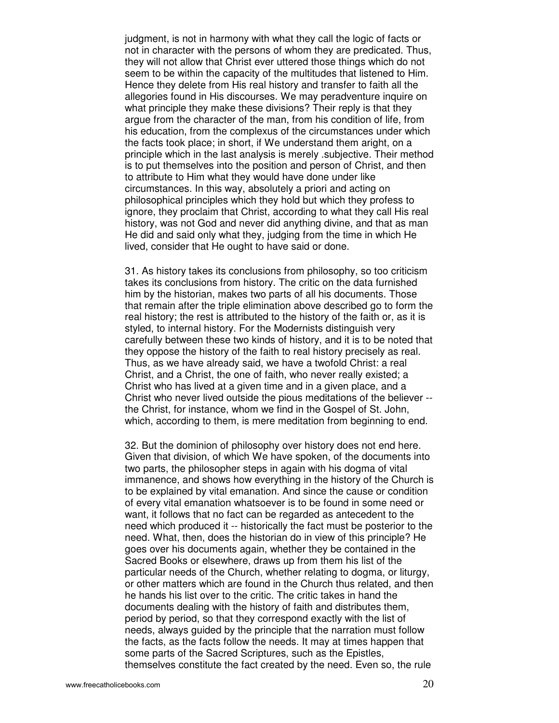judgment, is not in harmony with what they call the logic of facts or not in character with the persons of whom they are predicated. Thus, they will not allow that Christ ever uttered those things which do not seem to be within the capacity of the multitudes that listened to Him. Hence they delete from His real history and transfer to faith all the allegories found in His discourses. We may peradventure inquire on what principle they make these divisions? Their reply is that they argue from the character of the man, from his condition of life, from his education, from the complexus of the circumstances under which the facts took place; in short, if We understand them aright, on a principle which in the last analysis is merely .subjective. Their method is to put themselves into the position and person of Christ, and then to attribute to Him what they would have done under like circumstances. In this way, absolutely a priori and acting on philosophical principles which they hold but which they profess to ignore, they proclaim that Christ, according to what they call His real history, was not God and never did anything divine, and that as man He did and said only what they, judging from the time in which He lived, consider that He ought to have said or done.

31. As history takes its conclusions from philosophy, so too criticism takes its conclusions from history. The critic on the data furnished him by the historian, makes two parts of all his documents. Those that remain after the triple elimination above described go to form the real history; the rest is attributed to the history of the faith or, as it is styled, to internal history. For the Modernists distinguish very carefully between these two kinds of history, and it is to be noted that they oppose the history of the faith to real history precisely as real. Thus, as we have already said, we have a twofold Christ: a real Christ, and a Christ, the one of faith, who never really existed; a Christ who has lived at a given time and in a given place, and a Christ who never lived outside the pious meditations of the believer - the Christ, for instance, whom we find in the Gospel of St. John, which, according to them, is mere meditation from beginning to end.

32. But the dominion of philosophy over history does not end here. Given that division, of which We have spoken, of the documents into two parts, the philosopher steps in again with his dogma of vital immanence, and shows how everything in the history of the Church is to be explained by vital emanation. And since the cause or condition of every vital emanation whatsoever is to be found in some need or want, it follows that no fact can be regarded as antecedent to the need which produced it -- historically the fact must be posterior to the need. What, then, does the historian do in view of this principle? He goes over his documents again, whether they be contained in the Sacred Books or elsewhere, draws up from them his list of the particular needs of the Church, whether relating to dogma, or liturgy, or other matters which are found in the Church thus related, and then he hands his list over to the critic. The critic takes in hand the documents dealing with the history of faith and distributes them, period by period, so that they correspond exactly with the list of needs, always guided by the principle that the narration must follow the facts, as the facts follow the needs. It may at times happen that some parts of the Sacred Scriptures, such as the Epistles, themselves constitute the fact created by the need. Even so, the rule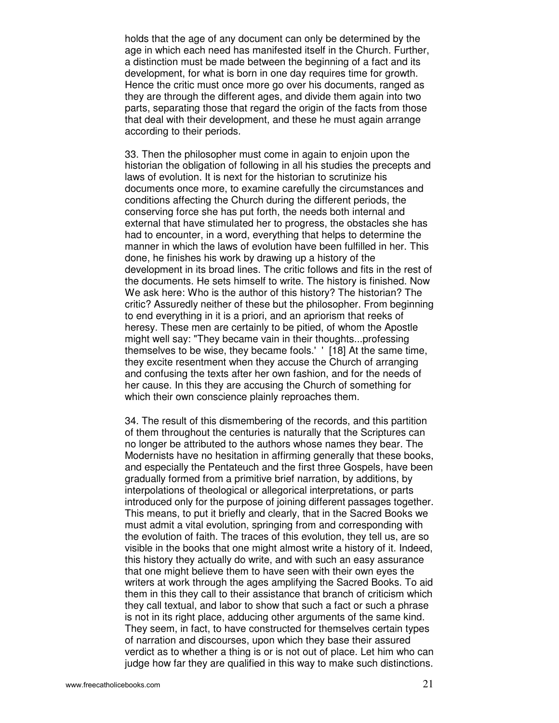holds that the age of any document can only be determined by the age in which each need has manifested itself in the Church. Further, a distinction must be made between the beginning of a fact and its development, for what is born in one day requires time for growth. Hence the critic must once more go over his documents, ranged as they are through the different ages, and divide them again into two parts, separating those that regard the origin of the facts from those that deal with their development, and these he must again arrange according to their periods.

33. Then the philosopher must come in again to enjoin upon the historian the obligation of following in all his studies the precepts and laws of evolution. It is next for the historian to scrutinize his documents once more, to examine carefully the circumstances and conditions affecting the Church during the different periods, the conserving force she has put forth, the needs both internal and external that have stimulated her to progress, the obstacles she has had to encounter, in a word, everything that helps to determine the manner in which the laws of evolution have been fulfilled in her. This done, he finishes his work by drawing up a history of the development in its broad lines. The critic follows and fits in the rest of the documents. He sets himself to write. The history is finished. Now We ask here: Who is the author of this history? The historian? The critic? Assuredly neither of these but the philosopher. From beginning to end everything in it is a priori, and an apriorism that reeks of heresy. These men are certainly to be pitied, of whom the Apostle might well say: "They became vain in their thoughts...professing themselves to be wise, they became fools.' ' [18] At the same time, they excite resentment when they accuse the Church of arranging and confusing the texts after her own fashion, and for the needs of her cause. In this they are accusing the Church of something for which their own conscience plainly reproaches them.

34. The result of this dismembering of the records, and this partition of them throughout the centuries is naturally that the Scriptures can no longer be attributed to the authors whose names they bear. The Modernists have no hesitation in affirming generally that these books, and especially the Pentateuch and the first three Gospels, have been gradually formed from a primitive brief narration, by additions, by interpolations of theological or allegorical interpretations, or parts introduced only for the purpose of joining different passages together. This means, to put it briefly and clearly, that in the Sacred Books we must admit a vital evolution, springing from and corresponding with the evolution of faith. The traces of this evolution, they tell us, are so visible in the books that one might almost write a history of it. Indeed, this history they actually do write, and with such an easy assurance that one might believe them to have seen with their own eyes the writers at work through the ages amplifying the Sacred Books. To aid them in this they call to their assistance that branch of criticism which they call textual, and labor to show that such a fact or such a phrase is not in its right place, adducing other arguments of the same kind. They seem, in fact, to have constructed for themselves certain types of narration and discourses, upon which they base their assured verdict as to whether a thing is or is not out of place. Let him who can judge how far they are qualified in this way to make such distinctions.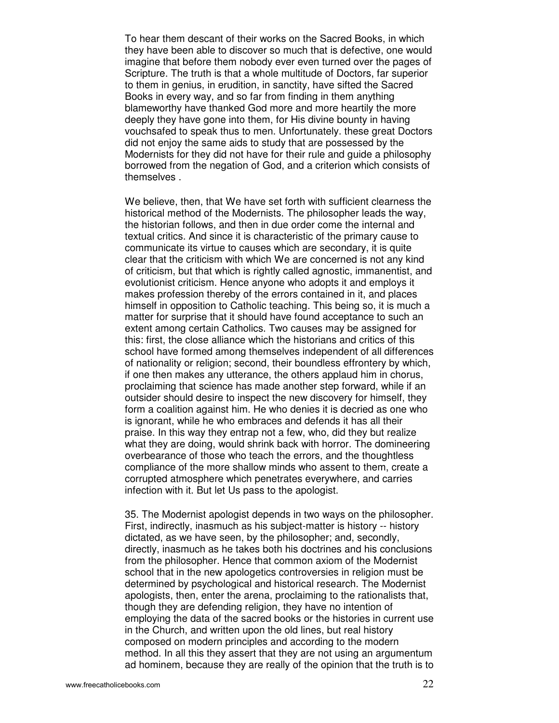To hear them descant of their works on the Sacred Books, in which they have been able to discover so much that is defective, one would imagine that before them nobody ever even turned over the pages of Scripture. The truth is that a whole multitude of Doctors, far superior to them in genius, in erudition, in sanctity, have sifted the Sacred Books in every way, and so far from finding in them anything blameworthy have thanked God more and more heartily the more deeply they have gone into them, for His divine bounty in having vouchsafed to speak thus to men. Unfortunately. these great Doctors did not enjoy the same aids to study that are possessed by the Modernists for they did not have for their rule and guide a philosophy borrowed from the negation of God, and a criterion which consists of themselves .

We believe, then, that We have set forth with sufficient clearness the historical method of the Modernists. The philosopher leads the way, the historian follows, and then in due order come the internal and textual critics. And since it is characteristic of the primary cause to communicate its virtue to causes which are secondary, it is quite clear that the criticism with which We are concerned is not any kind of criticism, but that which is rightly called agnostic, immanentist, and evolutionist criticism. Hence anyone who adopts it and employs it makes profession thereby of the errors contained in it, and places himself in opposition to Catholic teaching. This being so, it is much a matter for surprise that it should have found acceptance to such an extent among certain Catholics. Two causes may be assigned for this: first, the close alliance which the historians and critics of this school have formed among themselves independent of all differences of nationality or religion; second, their boundless effrontery by which, if one then makes any utterance, the others applaud him in chorus, proclaiming that science has made another step forward, while if an outsider should desire to inspect the new discovery for himself, they form a coalition against him. He who denies it is decried as one who is ignorant, while he who embraces and defends it has all their praise. In this way they entrap not a few, who, did they but realize what they are doing, would shrink back with horror. The domineering overbearance of those who teach the errors, and the thoughtless compliance of the more shallow minds who assent to them, create a corrupted atmosphere which penetrates everywhere, and carries infection with it. But let Us pass to the apologist.

35. The Modernist apologist depends in two ways on the philosopher. First, indirectly, inasmuch as his subject-matter is history -- history dictated, as we have seen, by the philosopher; and, secondly, directly, inasmuch as he takes both his doctrines and his conclusions from the philosopher. Hence that common axiom of the Modernist school that in the new apologetics controversies in religion must be determined by psychological and historical research. The Modernist apologists, then, enter the arena, proclaiming to the rationalists that, though they are defending religion, they have no intention of employing the data of the sacred books or the histories in current use in the Church, and written upon the old lines, but real history composed on modern principles and according to the modern method. In all this they assert that they are not using an argumentum ad hominem, because they are really of the opinion that the truth is to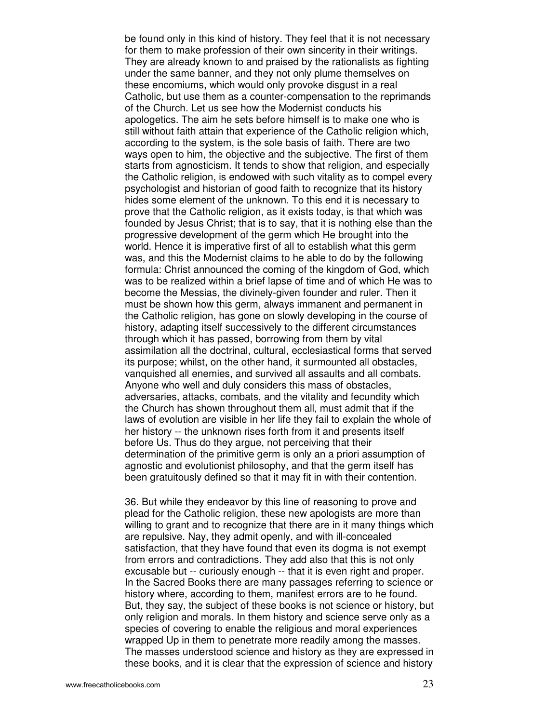be found only in this kind of history. They feel that it is not necessary for them to make profession of their own sincerity in their writings. They are already known to and praised by the rationalists as fighting under the same banner, and they not only plume themselves on these encomiums, which would only provoke disgust in a real Catholic, but use them as a counter-compensation to the reprimands of the Church. Let us see how the Modernist conducts his apologetics. The aim he sets before himself is to make one who is still without faith attain that experience of the Catholic religion which, according to the system, is the sole basis of faith. There are two ways open to him, the objective and the subjective. The first of them starts from agnosticism. It tends to show that religion, and especially the Catholic religion, is endowed with such vitality as to compel every psychologist and historian of good faith to recognize that its history hides some element of the unknown. To this end it is necessary to prove that the Catholic religion, as it exists today, is that which was founded by Jesus Christ; that is to say, that it is nothing else than the progressive development of the germ which He brought into the world. Hence it is imperative first of all to establish what this germ was, and this the Modernist claims to he able to do by the following formula: Christ announced the coming of the kingdom of God, which was to be realized within a brief lapse of time and of which He was to become the Messias, the divinely-given founder and ruler. Then it must be shown how this germ, always immanent and permanent in the Catholic religion, has gone on slowly developing in the course of history, adapting itself successively to the different circumstances through which it has passed, borrowing from them by vital assimilation all the doctrinal, cultural, ecclesiastical forms that served its purpose; whilst, on the other hand, it surmounted all obstacles, vanquished all enemies, and survived all assaults and all combats. Anyone who well and duly considers this mass of obstacles, adversaries, attacks, combats, and the vitality and fecundity which the Church has shown throughout them all, must admit that if the laws of evolution are visible in her life they fail to explain the whole of her history -- the unknown rises forth from it and presents itself before Us. Thus do they argue, not perceiving that their determination of the primitive germ is only an a priori assumption of agnostic and evolutionist philosophy, and that the germ itself has been gratuitously defined so that it may fit in with their contention.

36. But while they endeavor by this line of reasoning to prove and plead for the Catholic religion, these new apologists are more than willing to grant and to recognize that there are in it many things which are repulsive. Nay, they admit openly, and with ill-concealed satisfaction, that they have found that even its dogma is not exempt from errors and contradictions. They add also that this is not only excusable but -- curiously enough -- that it is even right and proper. In the Sacred Books there are many passages referring to science or history where, according to them, manifest errors are to he found. But, they say, the subject of these books is not science or history, but only religion and morals. In them history and science serve only as a species of covering to enable the religious and moral experiences wrapped Up in them to penetrate more readily among the masses. The masses understood science and history as they are expressed in these books, and it is clear that the expression of science and history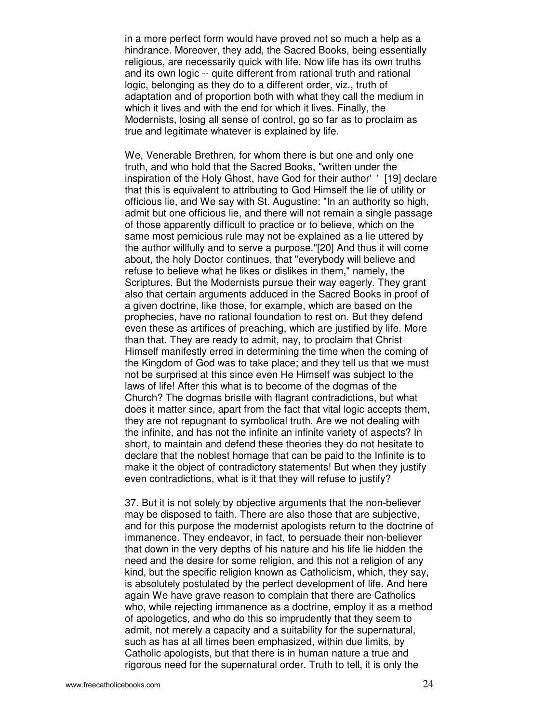in a more perfect form would have proved not so much a help as a hindrance. Moreover, they add, the Sacred Books, being essentially religious, are necessarily quick with life. Now life has its own truths and its own logic -- quite different from rational truth and rational logic, belonging as they do to a different order, viz., truth of adaptation and of proportion both with what they call the medium in which it lives and with the end for which it lives. Finally, the Modernists, losing all sense of control, go so far as to proclaim as true and legitimate whatever is explained by life.

We, Venerable Brethren, for whom there is but one and only one truth, and who hold that the Sacred Books, "written under the inspiration of the Holy Ghost, have God for their author' ' [19] declare that this is equivalent to attributing to God Himself the lie of utility or officious lie, and We say with St. Augustine: "In an authority so high, admit but one officious lie, and there will not remain a single passage of those apparently difficult to practice or to believe, which on the same most pernicious rule may not be explained as a lie uttered by the author willfully and to serve a purpose."[20] And thus it will come about, the holy Doctor continues, that "everybody will believe and refuse to believe what he likes or dislikes in them," namely, the Scriptures. But the Modernists pursue their way eagerly. They grant also that certain arguments adduced in the Sacred Books in proof of a given doctrine, like those, for example, which are based on the prophecies, have no rational foundation to rest on. But they defend even these as artifices of preaching, which are justified by life. More than that. They are ready to admit, nay, to proclaim that Christ Himself manifestly erred in determining the time when the coming of the Kingdom of God was to take place; and they tell us that we must not be surprised at this since even He Himself was subject to the laws of life! After this what is to become of the dogmas of the Church? The dogmas bristle with flagrant contradictions, but what does it matter since, apart from the fact that vital logic accepts them, they are not repugnant to symbolical truth. Are we not dealing with the infinite, and has not the infinite an infinite variety of aspects? In short, to maintain and defend these theories they do not hesitate to declare that the noblest homage that can be paid to the Infinite is to make it the object of contradictory statements! But when they justify even contradictions, what is it that they will refuse to justify?

37. But it is not solely by objective arguments that the non-believer may be disposed to faith. There are also those that are subjective, and for this purpose the modernist apologists return to the doctrine of immanence. They endeavor, in fact, to persuade their non-believer that down in the very depths of his nature and his life lie hidden the need and the desire for some religion, and this not a religion of any kind, but the specific religion known as Catholicism, which, they say, is absolutely postulated by the perfect development of life. And here again We have grave reason to complain that there are Catholics who, while rejecting immanence as a doctrine, employ it as a method of apologetics, and who do this so imprudently that they seem to admit, not merely a capacity and a suitability for the supernatural, such as has at all times been emphasized, within due limits, by Catholic apologists, but that there is in human nature a true and rigorous need for the supernatural order. Truth to tell, it is only the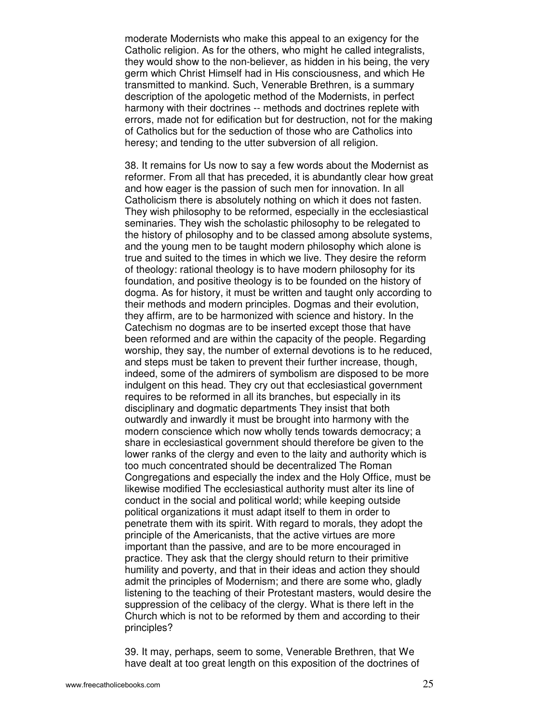moderate Modernists who make this appeal to an exigency for the Catholic religion. As for the others, who might he called integralists, they would show to the non-believer, as hidden in his being, the very germ which Christ Himself had in His consciousness, and which He transmitted to mankind. Such, Venerable Brethren, is a summary description of the apologetic method of the Modernists, in perfect harmony with their doctrines -- methods and doctrines replete with errors, made not for edification but for destruction, not for the making of Catholics but for the seduction of those who are Catholics into heresy; and tending to the utter subversion of all religion.

38. It remains for Us now to say a few words about the Modernist as reformer. From all that has preceded, it is abundantly clear how great and how eager is the passion of such men for innovation. In all Catholicism there is absolutely nothing on which it does not fasten. They wish philosophy to be reformed, especially in the ecclesiastical seminaries. They wish the scholastic philosophy to be relegated to the history of philosophy and to be classed among absolute systems, and the young men to be taught modern philosophy which alone is true and suited to the times in which we live. They desire the reform of theology: rational theology is to have modern philosophy for its foundation, and positive theology is to be founded on the history of dogma. As for history, it must be written and taught only according to their methods and modern principles. Dogmas and their evolution, they affirm, are to be harmonized with science and history. In the Catechism no dogmas are to be inserted except those that have been reformed and are within the capacity of the people. Regarding worship, they say, the number of external devotions is to he reduced, and steps must be taken to prevent their further increase, though, indeed, some of the admirers of symbolism are disposed to be more indulgent on this head. They cry out that ecclesiastical government requires to be reformed in all its branches, but especially in its disciplinary and dogmatic departments They insist that both outwardly and inwardly it must be brought into harmony with the modern conscience which now wholly tends towards democracy; a share in ecclesiastical government should therefore be given to the lower ranks of the clergy and even to the laity and authority which is too much concentrated should be decentralized The Roman Congregations and especially the index and the Holy Office, must be likewise modified The ecclesiastical authority must alter its line of conduct in the social and political world; while keeping outside political organizations it must adapt itself to them in order to penetrate them with its spirit. With regard to morals, they adopt the principle of the Americanists, that the active virtues are more important than the passive, and are to be more encouraged in practice. They ask that the clergy should return to their primitive humility and poverty, and that in their ideas and action they should admit the principles of Modernism; and there are some who, gladly listening to the teaching of their Protestant masters, would desire the suppression of the celibacy of the clergy. What is there left in the Church which is not to be reformed by them and according to their principles?

39. It may, perhaps, seem to some, Venerable Brethren, that We have dealt at too great length on this exposition of the doctrines of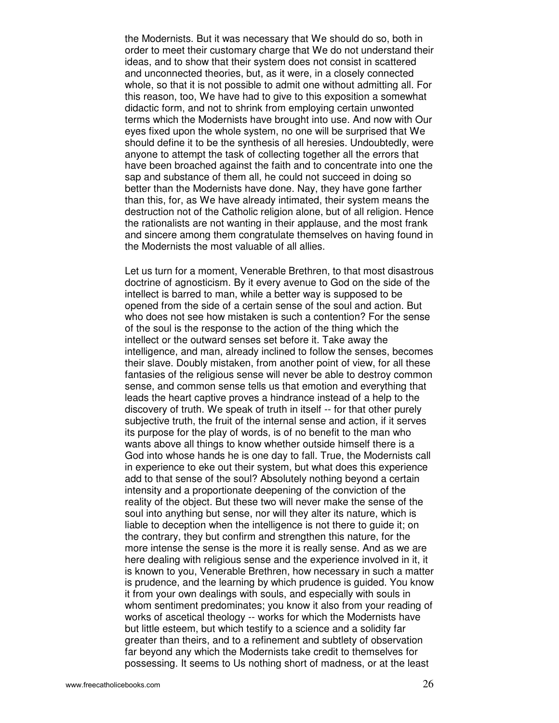the Modernists. But it was necessary that We should do so, both in order to meet their customary charge that We do not understand their ideas, and to show that their system does not consist in scattered and unconnected theories, but, as it were, in a closely connected whole, so that it is not possible to admit one without admitting all. For this reason, too, We have had to give to this exposition a somewhat didactic form, and not to shrink from employing certain unwonted terms which the Modernists have brought into use. And now with Our eyes fixed upon the whole system, no one will be surprised that We should define it to be the synthesis of all heresies. Undoubtedly, were anyone to attempt the task of collecting together all the errors that have been broached against the faith and to concentrate into one the sap and substance of them all, he could not succeed in doing so better than the Modernists have done. Nay, they have gone farther than this, for, as We have already intimated, their system means the destruction not of the Catholic religion alone, but of all religion. Hence the rationalists are not wanting in their applause, and the most frank and sincere among them congratulate themselves on having found in the Modernists the most valuable of all allies.

Let us turn for a moment, Venerable Brethren, to that most disastrous doctrine of agnosticism. By it every avenue to God on the side of the intellect is barred to man, while a better way is supposed to be opened from the side of a certain sense of the soul and action. But who does not see how mistaken is such a contention? For the sense of the soul is the response to the action of the thing which the intellect or the outward senses set before it. Take away the intelligence, and man, already inclined to follow the senses, becomes their slave. Doubly mistaken, from another point of view, for all these fantasies of the religious sense will never be able to destroy common sense, and common sense tells us that emotion and everything that leads the heart captive proves a hindrance instead of a help to the discovery of truth. We speak of truth in itself -- for that other purely subjective truth, the fruit of the internal sense and action, if it serves its purpose for the play of words, is of no benefit to the man who wants above all things to know whether outside himself there is a God into whose hands he is one day to fall. True, the Modernists call in experience to eke out their system, but what does this experience add to that sense of the soul? Absolutely nothing beyond a certain intensity and a proportionate deepening of the conviction of the reality of the object. But these two will never make the sense of the soul into anything but sense, nor will they alter its nature, which is liable to deception when the intelligence is not there to guide it; on the contrary, they but confirm and strengthen this nature, for the more intense the sense is the more it is really sense. And as we are here dealing with religious sense and the experience involved in it, it is known to you, Venerable Brethren, how necessary in such a matter is prudence, and the learning by which prudence is guided. You know it from your own dealings with souls, and especially with souls in whom sentiment predominates; you know it also from your reading of works of ascetical theology -- works for which the Modernists have but little esteem, but which testify to a science and a solidity far greater than theirs, and to a refinement and subtlety of observation far beyond any which the Modernists take credit to themselves for possessing. It seems to Us nothing short of madness, or at the least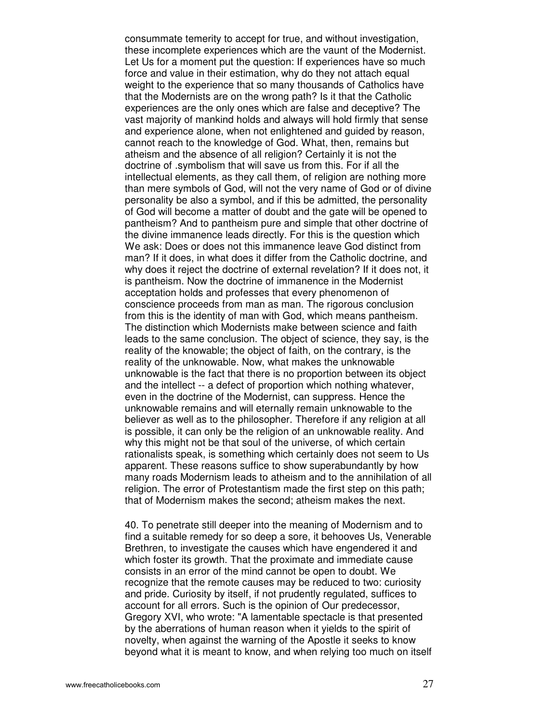consummate temerity to accept for true, and without investigation, these incomplete experiences which are the vaunt of the Modernist. Let Us for a moment put the question: If experiences have so much force and value in their estimation, why do they not attach equal weight to the experience that so many thousands of Catholics have that the Modernists are on the wrong path? Is it that the Catholic experiences are the only ones which are false and deceptive? The vast majority of mankind holds and always will hold firmly that sense and experience alone, when not enlightened and guided by reason, cannot reach to the knowledge of God. What, then, remains but atheism and the absence of all religion? Certainly it is not the doctrine of .symbolism that will save us from this. For if all the intellectual elements, as they call them, of religion are nothing more than mere symbols of God, will not the very name of God or of divine personality be also a symbol, and if this be admitted, the personality of God will become a matter of doubt and the gate will be opened to pantheism? And to pantheism pure and simple that other doctrine of the divine immanence leads directly. For this is the question which We ask: Does or does not this immanence leave God distinct from man? If it does, in what does it differ from the Catholic doctrine, and why does it reject the doctrine of external revelation? If it does not, it is pantheism. Now the doctrine of immanence in the Modernist acceptation holds and professes that every phenomenon of conscience proceeds from man as man. The rigorous conclusion from this is the identity of man with God, which means pantheism. The distinction which Modernists make between science and faith leads to the same conclusion. The object of science, they say, is the reality of the knowable; the object of faith, on the contrary, is the reality of the unknowable. Now, what makes the unknowable unknowable is the fact that there is no proportion between its object and the intellect -- a defect of proportion which nothing whatever, even in the doctrine of the Modernist, can suppress. Hence the unknowable remains and will eternally remain unknowable to the believer as well as to the philosopher. Therefore if any religion at all is possible, it can only be the religion of an unknowable reality. And why this might not be that soul of the universe, of which certain rationalists speak, is something which certainly does not seem to Us apparent. These reasons suffice to show superabundantly by how many roads Modernism leads to atheism and to the annihilation of all religion. The error of Protestantism made the first step on this path: that of Modernism makes the second; atheism makes the next.

40. To penetrate still deeper into the meaning of Modernism and to find a suitable remedy for so deep a sore, it behooves Us, Venerable Brethren, to investigate the causes which have engendered it and which foster its growth. That the proximate and immediate cause consists in an error of the mind cannot be open to doubt. We recognize that the remote causes may be reduced to two: curiosity and pride. Curiosity by itself, if not prudently regulated, suffices to account for all errors. Such is the opinion of Our predecessor, Gregory XVI, who wrote: "A lamentable spectacle is that presented by the aberrations of human reason when it yields to the spirit of novelty, when against the warning of the Apostle it seeks to know beyond what it is meant to know, and when relying too much on itself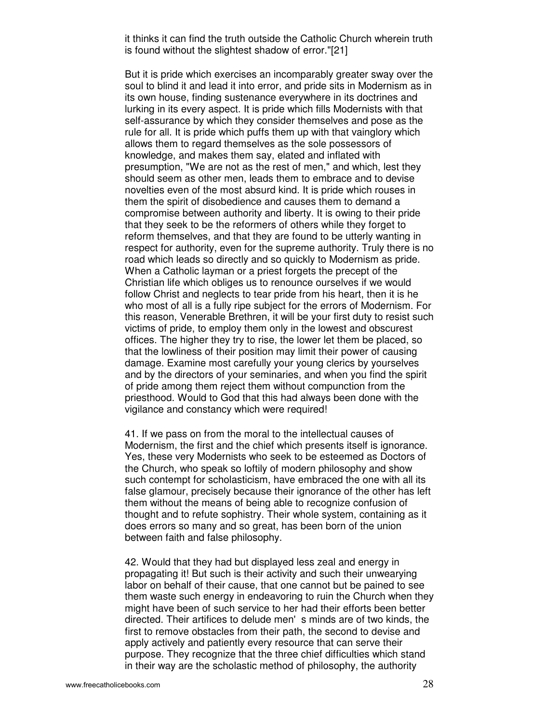it thinks it can find the truth outside the Catholic Church wherein truth is found without the slightest shadow of error."[21]

But it is pride which exercises an incomparably greater sway over the soul to blind it and lead it into error, and pride sits in Modernism as in its own house, finding sustenance everywhere in its doctrines and lurking in its every aspect. It is pride which fills Modernists with that self-assurance by which they consider themselves and pose as the rule for all. It is pride which puffs them up with that vainglory which allows them to regard themselves as the sole possessors of knowledge, and makes them say, elated and inflated with presumption, "We are not as the rest of men," and which, lest they should seem as other men, leads them to embrace and to devise novelties even of the most absurd kind. It is pride which rouses in them the spirit of disobedience and causes them to demand a compromise between authority and liberty. It is owing to their pride that they seek to be the reformers of others while they forget to reform themselves, and that they are found to be utterly wanting in respect for authority, even for the supreme authority. Truly there is no road which leads so directly and so quickly to Modernism as pride. When a Catholic layman or a priest forgets the precept of the Christian life which obliges us to renounce ourselves if we would follow Christ and neglects to tear pride from his heart, then it is he who most of all is a fully ripe subject for the errors of Modernism. For this reason, Venerable Brethren, it will be your first duty to resist such victims of pride, to employ them only in the lowest and obscurest offices. The higher they try to rise, the lower let them be placed, so that the lowliness of their position may limit their power of causing damage. Examine most carefully your young clerics by yourselves and by the directors of your seminaries, and when you find the spirit of pride among them reject them without compunction from the priesthood. Would to God that this had always been done with the vigilance and constancy which were required!

41. If we pass on from the moral to the intellectual causes of Modernism, the first and the chief which presents itself is ignorance. Yes, these very Modernists who seek to be esteemed as Doctors of the Church, who speak so loftily of modern philosophy and show such contempt for scholasticism, have embraced the one with all its false glamour, precisely because their ignorance of the other has left them without the means of being able to recognize confusion of thought and to refute sophistry. Their whole system, containing as it does errors so many and so great, has been born of the union between faith and false philosophy.

42. Would that they had but displayed less zeal and energy in propagating it! But such is their activity and such their unwearying labor on behalf of their cause, that one cannot but be pained to see them waste such energy in endeavoring to ruin the Church when they might have been of such service to her had their efforts been better directed. Their artifices to delude men's minds are of two kinds, the first to remove obstacles from their path, the second to devise and apply actively and patiently every resource that can serve their purpose. They recognize that the three chief difficulties which stand in their way are the scholastic method of philosophy, the authority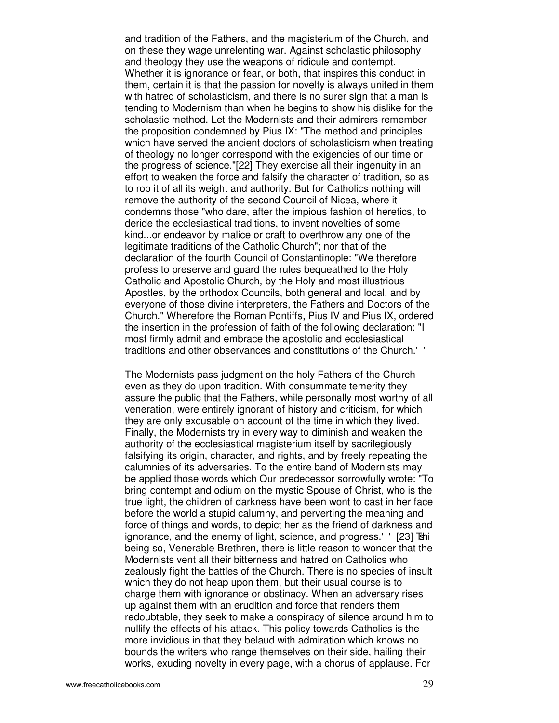and tradition of the Fathers, and the magisterium of the Church, and on these they wage unrelenting war. Against scholastic philosophy and theology they use the weapons of ridicule and contempt. Whether it is ignorance or fear, or both, that inspires this conduct in them, certain it is that the passion for novelty is always united in them with hatred of scholasticism, and there is no surer sign that a man is tending to Modernism than when he begins to show his dislike for the scholastic method. Let the Modernists and their admirers remember the proposition condemned by Pius IX: "The method and principles which have served the ancient doctors of scholasticism when treating of theology no longer correspond with the exigencies of our time or the progress of science."[22] They exercise all their ingenuity in an effort to weaken the force and falsify the character of tradition, so as to rob it of all its weight and authority. But for Catholics nothing will remove the authority of the second Council of Nicea, where it condemns those "who dare, after the impious fashion of heretics, to deride the ecclesiastical traditions, to invent novelties of some kind...or endeavor by malice or craft to overthrow any one of the legitimate traditions of the Catholic Church"; nor that of the declaration of the fourth Council of Constantinople: "We therefore profess to preserve and guard the rules bequeathed to the Holy Catholic and Apostolic Church, by the Holy and most illustrious Apostles, by the orthodox Councils, both general and local, and by everyone of those divine interpreters, the Fathers and Doctors of the Church." Wherefore the Roman Pontiffs, Pius IV and Pius IX, ordered the insertion in the profession of faith of the following declaration: "I most firmly admit and embrace the apostolic and ecclesiastical traditions and other observances and constitutions of the Church.''

The Modernists pass judgment on the holy Fathers of the Church even as they do upon tradition. With consummate temerity they assure the public that the Fathers, while personally most worthy of all veneration, were entirely ignorant of history and criticism, for which they are only excusable on account of the time in which they lived. Finally, the Modernists try in every way to diminish and weaken the authority of the ecclesiastical magisterium itself by sacrilegiously falsifying its origin, character, and rights, and by freely repeating the calumnies of its adversaries. To the entire band of Modernists may be applied those words which Our predecessor sorrowfully wrote: "To bring contempt and odium on the mystic Spouse of Christ, who is the true light, the children of darkness have been wont to cast in her face before the world a stupid calumny, and perverting the meaning and force of things and words, to depict her as the friend of darkness and ignorance, and the enemy of light, science, and progress.' ' [23] Tshi being so, Venerable Brethren, there is little reason to wonder that the Modernists vent all their bitterness and hatred on Catholics who zealously fight the battles of the Church. There is no species of insult which they do not heap upon them, but their usual course is to charge them with ignorance or obstinacy. When an adversary rises up against them with an erudition and force that renders them redoubtable, they seek to make a conspiracy of silence around him to nullify the effects of his attack. This policy towards Catholics is the more invidious in that they belaud with admiration which knows no bounds the writers who range themselves on their side, hailing their works, exuding novelty in every page, with a chorus of applause. For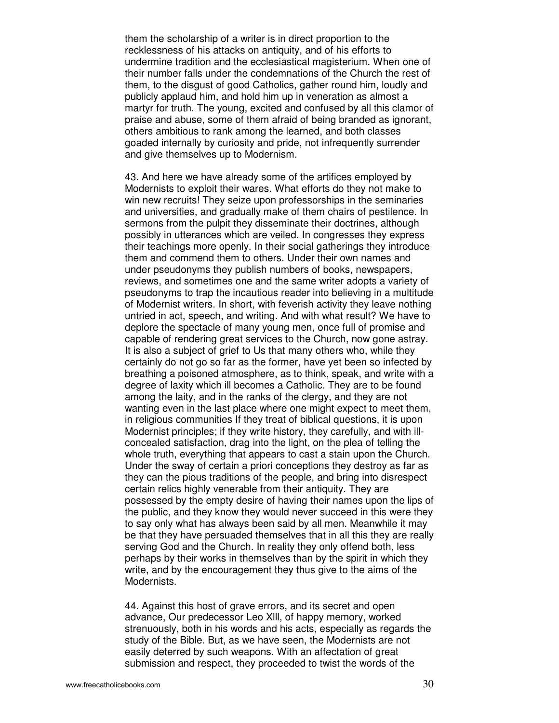them the scholarship of a writer is in direct proportion to the recklessness of his attacks on antiquity, and of his efforts to undermine tradition and the ecclesiastical magisterium. When one of their number falls under the condemnations of the Church the rest of them, to the disgust of good Catholics, gather round him, loudly and publicly applaud him, and hold him up in veneration as almost a martyr for truth. The young, excited and confused by all this clamor of praise and abuse, some of them afraid of being branded as ignorant, others ambitious to rank among the learned, and both classes goaded internally by curiosity and pride, not infrequently surrender and give themselves up to Modernism.

43. And here we have already some of the artifices employed by Modernists to exploit their wares. What efforts do they not make to win new recruits! They seize upon professorships in the seminaries and universities, and gradually make of them chairs of pestilence. In sermons from the pulpit they disseminate their doctrines, although possibly in utterances which are veiled. In congresses they express their teachings more openly. In their social gatherings they introduce them and commend them to others. Under their own names and under pseudonyms they publish numbers of books, newspapers, reviews, and sometimes one and the same writer adopts a variety of pseudonyms to trap the incautious reader into believing in a multitude of Modernist writers. In short, with feverish activity they leave nothing untried in act, speech, and writing. And with what result? We have to deplore the spectacle of many young men, once full of promise and capable of rendering great services to the Church, now gone astray. It is also a subject of grief to Us that many others who, while they certainly do not go so far as the former, have yet been so infected by breathing a poisoned atmosphere, as to think, speak, and write with a degree of laxity which ill becomes a Catholic. They are to be found among the laity, and in the ranks of the clergy, and they are not wanting even in the last place where one might expect to meet them, in religious communities If they treat of biblical questions, it is upon Modernist principles; if they write history, they carefully, and with illconcealed satisfaction, drag into the light, on the plea of telling the whole truth, everything that appears to cast a stain upon the Church. Under the sway of certain a priori conceptions they destroy as far as they can the pious traditions of the people, and bring into disrespect certain relics highly venerable from their antiquity. They are possessed by the empty desire of having their names upon the lips of the public, and they know they would never succeed in this were they to say only what has always been said by all men. Meanwhile it may be that they have persuaded themselves that in all this they are really serving God and the Church. In reality they only offend both, less perhaps by their works in themselves than by the spirit in which they write, and by the encouragement they thus give to the aims of the Modernists.

44. Against this host of grave errors, and its secret and open advance, Our predecessor Leo Xlll, of happy memory, worked strenuously, both in his words and his acts, especially as regards the study of the Bible. But, as we have seen, the Modernists are not easily deterred by such weapons. With an affectation of great submission and respect, they proceeded to twist the words of the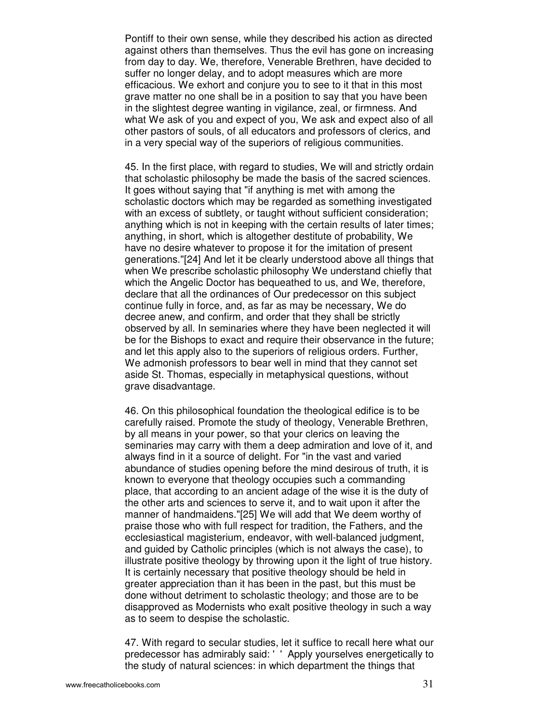Pontiff to their own sense, while they described his action as directed against others than themselves. Thus the evil has gone on increasing from day to day. We, therefore, Venerable Brethren, have decided to suffer no longer delay, and to adopt measures which are more efficacious. We exhort and conjure you to see to it that in this most grave matter no one shall be in a position to say that you have been in the slightest degree wanting in vigilance, zeal, or firmness. And what We ask of you and expect of you, We ask and expect also of all other pastors of souls, of all educators and professors of clerics, and in a very special way of the superiors of religious communities.

45. In the first place, with regard to studies, We will and strictly ordain that scholastic philosophy be made the basis of the sacred sciences. It goes without saying that "if anything is met with among the scholastic doctors which may be regarded as something investigated with an excess of subtlety, or taught without sufficient consideration; anything which is not in keeping with the certain results of later times; anything, in short, which is altogether destitute of probability, We have no desire whatever to propose it for the imitation of present generations."[24] And let it be clearly understood above all things that when We prescribe scholastic philosophy We understand chiefly that which the Angelic Doctor has bequeathed to us, and We, therefore, declare that all the ordinances of Our predecessor on this subject continue fully in force, and, as far as may be necessary, We do decree anew, and confirm, and order that they shall be strictly observed by all. In seminaries where they have been neglected it will be for the Bishops to exact and require their observance in the future; and let this apply also to the superiors of religious orders. Further, We admonish professors to bear well in mind that they cannot set aside St. Thomas, especially in metaphysical questions, without grave disadvantage.

46. On this philosophical foundation the theological edifice is to be carefully raised. Promote the study of theology, Venerable Brethren, by all means in your power, so that your clerics on leaving the seminaries may carry with them a deep admiration and love of it, and always find in it a source of delight. For "in the vast and varied abundance of studies opening before the mind desirous of truth, it is known to everyone that theology occupies such a commanding place, that according to an ancient adage of the wise it is the duty of the other arts and sciences to serve it, and to wait upon it after the manner of handmaidens."[25] We will add that We deem worthy of praise those who with full respect for tradition, the Fathers, and the ecclesiastical magisterium, endeavor, with well-balanced judgment, and guided by Catholic principles (which is not always the case), to illustrate positive theology by throwing upon it the light of true history. It is certainly necessary that positive theology should be held in greater appreciation than it has been in the past, but this must be done without detriment to scholastic theology; and those are to be disapproved as Modernists who exalt positive theology in such a way as to seem to despise the scholastic.

47. With regard to secular studies, let it suffice to recall here what our predecessor has admirably said: ''Apply yourselves energetically to the study of natural sciences: in which department the things that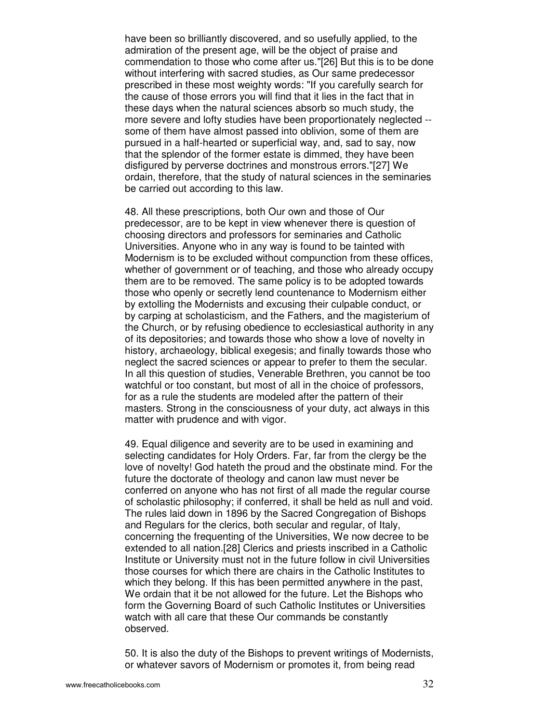have been so brilliantly discovered, and so usefully applied, to the admiration of the present age, will be the object of praise and commendation to those who come after us."[26] But this is to be done without interfering with sacred studies, as Our same predecessor prescribed in these most weighty words: "If you carefully search for the cause of those errors you will find that it lies in the fact that in these days when the natural sciences absorb so much study, the more severe and lofty studies have been proportionately neglected - some of them have almost passed into oblivion, some of them are pursued in a half-hearted or superficial way, and, sad to say, now that the splendor of the former estate is dimmed, they have been disfigured by perverse doctrines and monstrous errors."[27] We ordain, therefore, that the study of natural sciences in the seminaries be carried out according to this law.

48. All these prescriptions, both Our own and those of Our predecessor, are to be kept in view whenever there is question of choosing directors and professors for seminaries and Catholic Universities. Anyone who in any way is found to be tainted with Modernism is to be excluded without compunction from these offices, whether of government or of teaching, and those who already occupy them are to be removed. The same policy is to be adopted towards those who openly or secretly lend countenance to Modernism either by extolling the Modernists and excusing their culpable conduct, or by carping at scholasticism, and the Fathers, and the magisterium of the Church, or by refusing obedience to ecclesiastical authority in any of its depositories; and towards those who show a love of novelty in history, archaeology, biblical exegesis; and finally towards those who neglect the sacred sciences or appear to prefer to them the secular. In all this question of studies, Venerable Brethren, you cannot be too watchful or too constant, but most of all in the choice of professors, for as a rule the students are modeled after the pattern of their masters. Strong in the consciousness of your duty, act always in this matter with prudence and with vigor.

49. Equal diligence and severity are to be used in examining and selecting candidates for Holy Orders. Far, far from the clergy be the love of novelty! God hateth the proud and the obstinate mind. For the future the doctorate of theology and canon law must never be conferred on anyone who has not first of all made the regular course of scholastic philosophy; if conferred, it shall be held as null and void. The rules laid down in 1896 by the Sacred Congregation of Bishops and Regulars for the clerics, both secular and regular, of Italy, concerning the frequenting of the Universities, We now decree to be extended to all nation.[28] Clerics and priests inscribed in a Catholic Institute or University must not in the future follow in civil Universities those courses for which there are chairs in the Catholic Institutes to which they belong. If this has been permitted anywhere in the past, We ordain that it be not allowed for the future. Let the Bishops who form the Governing Board of such Catholic Institutes or Universities watch with all care that these Our commands be constantly observed.

50. It is also the duty of the Bishops to prevent writings of Modernists, or whatever savors of Modernism or promotes it, from being read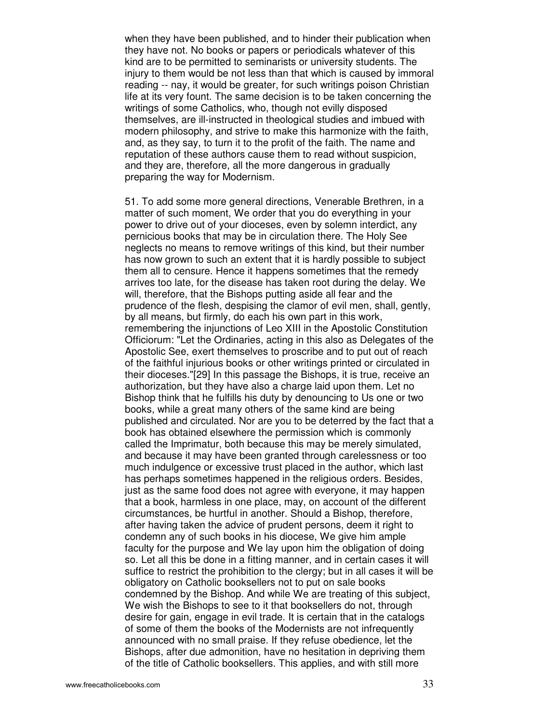when they have been published, and to hinder their publication when they have not. No books or papers or periodicals whatever of this kind are to be permitted to seminarists or university students. The injury to them would be not less than that which is caused by immoral reading -- nay, it would be greater, for such writings poison Christian life at its very fount. The same decision is to be taken concerning the writings of some Catholics, who, though not evilly disposed themselves, are ill-instructed in theological studies and imbued with modern philosophy, and strive to make this harmonize with the faith, and, as they say, to turn it to the profit of the faith. The name and reputation of these authors cause them to read without suspicion, and they are, therefore, all the more dangerous in gradually preparing the way for Modernism.

51. To add some more general directions, Venerable Brethren, in a matter of such moment, We order that you do everything in your power to drive out of your dioceses, even by solemn interdict, any pernicious books that may be in circulation there. The Holy See neglects no means to remove writings of this kind, but their number has now grown to such an extent that it is hardly possible to subject them all to censure. Hence it happens sometimes that the remedy arrives too late, for the disease has taken root during the delay. We will, therefore, that the Bishops putting aside all fear and the prudence of the flesh, despising the clamor of evil men, shall, gently, by all means, but firmly, do each his own part in this work, remembering the injunctions of Leo XIII in the Apostolic Constitution Officiorum: "Let the Ordinaries, acting in this also as Delegates of the Apostolic See, exert themselves to proscribe and to put out of reach of the faithful injurious books or other writings printed or circulated in their dioceses."[29] In this passage the Bishops, it is true, receive an authorization, but they have also a charge laid upon them. Let no Bishop think that he fulfills his duty by denouncing to Us one or two books, while a great many others of the same kind are being published and circulated. Nor are you to be deterred by the fact that a book has obtained elsewhere the permission which is commonly called the Imprimatur, both because this may be merely simulated, and because it may have been granted through carelessness or too much indulgence or excessive trust placed in the author, which last has perhaps sometimes happened in the religious orders. Besides, just as the same food does not agree with everyone, it may happen that a book, harmless in one place, may, on account of the different circumstances, be hurtful in another. Should a Bishop, therefore, after having taken the advice of prudent persons, deem it right to condemn any of such books in his diocese, We give him ample faculty for the purpose and We lay upon him the obligation of doing so. Let all this be done in a fitting manner, and in certain cases it will suffice to restrict the prohibition to the clergy; but in all cases it will be obligatory on Catholic booksellers not to put on sale books condemned by the Bishop. And while We are treating of this subject, We wish the Bishops to see to it that booksellers do not, through desire for gain, engage in evil trade. It is certain that in the catalogs of some of them the books of the Modernists are not infrequently announced with no small praise. If they refuse obedience, let the Bishops, after due admonition, have no hesitation in depriving them of the title of Catholic booksellers. This applies, and with still more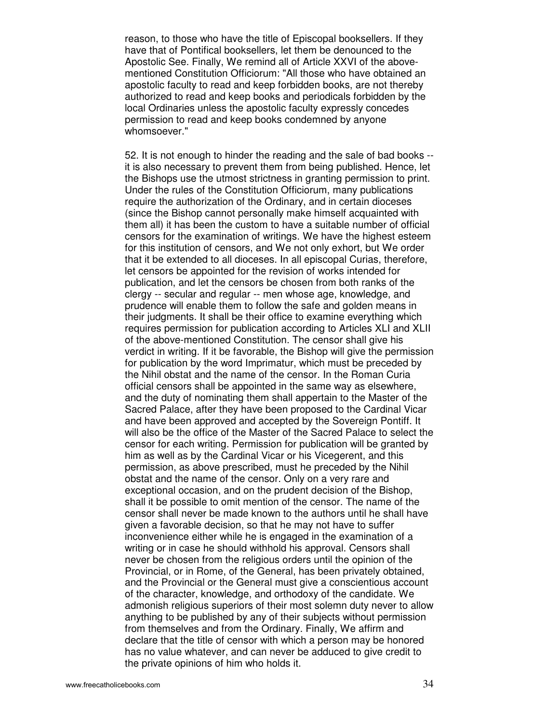reason, to those who have the title of Episcopal booksellers. If they have that of Pontifical booksellers, let them be denounced to the Apostolic See. Finally, We remind all of Article XXVI of the abovementioned Constitution Officiorum: "All those who have obtained an apostolic faculty to read and keep forbidden books, are not thereby authorized to read and keep books and periodicals forbidden by the local Ordinaries unless the apostolic faculty expressly concedes permission to read and keep books condemned by anyone whomsoever."

52. It is not enough to hinder the reading and the sale of bad books - it is also necessary to prevent them from being published. Hence, let the Bishops use the utmost strictness in granting permission to print. Under the rules of the Constitution Officiorum, many publications require the authorization of the Ordinary, and in certain dioceses (since the Bishop cannot personally make himself acquainted with them all) it has been the custom to have a suitable number of official censors for the examination of writings. We have the highest esteem for this institution of censors, and We not only exhort, but We order that it be extended to all dioceses. In all episcopal Curias, therefore, let censors be appointed for the revision of works intended for publication, and let the censors be chosen from both ranks of the clergy -- secular and regular -- men whose age, knowledge, and prudence will enable them to follow the safe and golden means in their judgments. It shall be their office to examine everything which requires permission for publication according to Articles XLI and XLII of the above-mentioned Constitution. The censor shall give his verdict in writing. If it be favorable, the Bishop will give the permission for publication by the word Imprimatur, which must be preceded by the Nihil obstat and the name of the censor. In the Roman Curia official censors shall be appointed in the same way as elsewhere, and the duty of nominating them shall appertain to the Master of the Sacred Palace, after they have been proposed to the Cardinal Vicar and have been approved and accepted by the Sovereign Pontiff. It will also be the office of the Master of the Sacred Palace to select the censor for each writing. Permission for publication will be granted by him as well as by the Cardinal Vicar or his Vicegerent, and this permission, as above prescribed, must he preceded by the Nihil obstat and the name of the censor. Only on a very rare and exceptional occasion, and on the prudent decision of the Bishop, shall it be possible to omit mention of the censor. The name of the censor shall never be made known to the authors until he shall have given a favorable decision, so that he may not have to suffer inconvenience either while he is engaged in the examination of a writing or in case he should withhold his approval. Censors shall never be chosen from the religious orders until the opinion of the Provincial, or in Rome, of the General, has been privately obtained, and the Provincial or the General must give a conscientious account of the character, knowledge, and orthodoxy of the candidate. We admonish religious superiors of their most solemn duty never to allow anything to be published by any of their subjects without permission from themselves and from the Ordinary. Finally, We affirm and declare that the title of censor with which a person may be honored has no value whatever, and can never be adduced to give credit to the private opinions of him who holds it.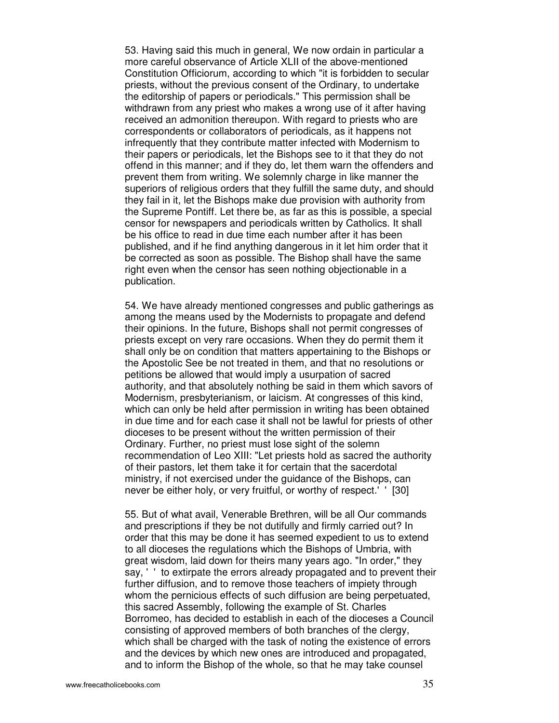53. Having said this much in general, We now ordain in particular a more careful observance of Article XLII of the above-mentioned Constitution Officiorum, according to which "it is forbidden to secular priests, without the previous consent of the Ordinary, to undertake the editorship of papers or periodicals." This permission shall be withdrawn from any priest who makes a wrong use of it after having received an admonition thereupon. With regard to priests who are correspondents or collaborators of periodicals, as it happens not infrequently that they contribute matter infected with Modernism to their papers or periodicals, let the Bishops see to it that they do not offend in this manner; and if they do, let them warn the offenders and prevent them from writing. We solemnly charge in like manner the superiors of religious orders that they fulfill the same duty, and should they fail in it, let the Bishops make due provision with authority from the Supreme Pontiff. Let there be, as far as this is possible, a special censor for newspapers and periodicals written by Catholics. It shall be his office to read in due time each number after it has been published, and if he find anything dangerous in it let him order that it be corrected as soon as possible. The Bishop shall have the same right even when the censor has seen nothing objectionable in a publication.

54. We have already mentioned congresses and public gatherings as among the means used by the Modernists to propagate and defend their opinions. In the future, Bishops shall not permit congresses of priests except on very rare occasions. When they do permit them it shall only be on condition that matters appertaining to the Bishops or the Apostolic See be not treated in them, and that no resolutions or petitions be allowed that would imply a usurpation of sacred authority, and that absolutely nothing be said in them which savors of Modernism, presbyterianism, or laicism. At congresses of this kind, which can only be held after permission in writing has been obtained in due time and for each case it shall not be lawful for priests of other dioceses to be present without the written permission of their Ordinary. Further, no priest must lose sight of the solemn recommendation of Leo XIII: "Let priests hold as sacred the authority of their pastors, let them take it for certain that the sacerdotal ministry, if not exercised under the guidance of the Bishops, can never be either holy, or very fruitful, or worthy of respect.' ' [30]

55. But of what avail, Venerable Brethren, will be all Our commands and prescriptions if they be not dutifully and firmly carried out? In order that this may be done it has seemed expedient to us to extend to all dioceses the regulations which the Bishops of Umbria, with great wisdom, laid down for theirs many years ago. "In order," they say, '' to extirpate the errors already propagated and to prevent their further diffusion, and to remove those teachers of impiety through whom the pernicious effects of such diffusion are being perpetuated, this sacred Assembly, following the example of St. Charles Borromeo, has decided to establish in each of the dioceses a Council consisting of approved members of both branches of the clergy, which shall be charged with the task of noting the existence of errors and the devices by which new ones are introduced and propagated, and to inform the Bishop of the whole, so that he may take counsel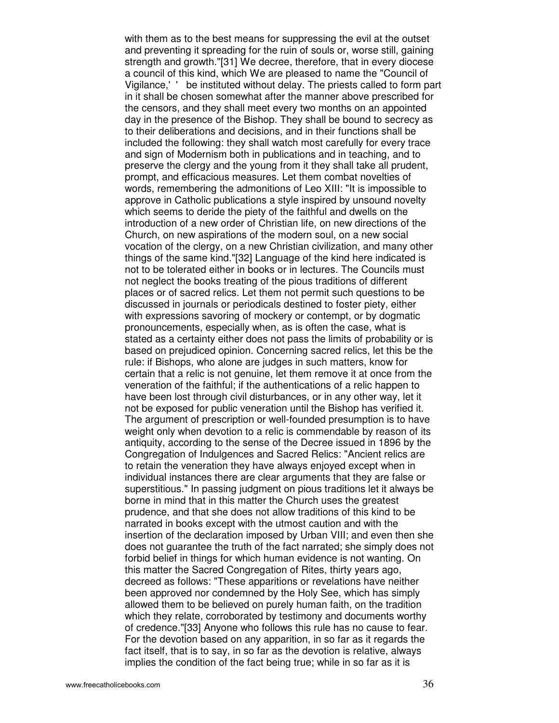with them as to the best means for suppressing the evil at the outset and preventing it spreading for the ruin of souls or, worse still, gaining strength and growth."[31] We decree, therefore, that in every diocese a council of this kind, which We are pleased to name the "Council of Vigilance,'' be instituted without delay. The priests called to form part in it shall be chosen somewhat after the manner above prescribed for the censors, and they shall meet every two months on an appointed day in the presence of the Bishop. They shall be bound to secrecy as to their deliberations and decisions, and in their functions shall be included the following: they shall watch most carefully for every trace and sign of Modernism both in publications and in teaching, and to preserve the clergy and the young from it they shall take all prudent, prompt, and efficacious measures. Let them combat novelties of words, remembering the admonitions of Leo XIII: "It is impossible to approve in Catholic publications a style inspired by unsound novelty which seems to deride the piety of the faithful and dwells on the introduction of a new order of Christian life, on new directions of the Church, on new aspirations of the modern soul, on a new social vocation of the clergy, on a new Christian civilization, and many other things of the same kind."[32] Language of the kind here indicated is not to be tolerated either in books or in lectures. The Councils must not neglect the books treating of the pious traditions of different places or of sacred relics. Let them not permit such questions to be discussed in journals or periodicals destined to foster piety, either with expressions savoring of mockery or contempt, or by dogmatic pronouncements, especially when, as is often the case, what is stated as a certainty either does not pass the limits of probability or is based on prejudiced opinion. Concerning sacred relics, let this be the rule: if Bishops, who alone are judges in such matters, know for certain that a relic is not genuine, let them remove it at once from the veneration of the faithful; if the authentications of a relic happen to have been lost through civil disturbances, or in any other way, let it not be exposed for public veneration until the Bishop has verified it. The argument of prescription or well-founded presumption is to have weight only when devotion to a relic is commendable by reason of its antiquity, according to the sense of the Decree issued in 1896 by the Congregation of Indulgences and Sacred Relics: "Ancient relics are to retain the veneration they have always enjoyed except when in individual instances there are clear arguments that they are false or superstitious." In passing judgment on pious traditions let it always be borne in mind that in this matter the Church uses the greatest prudence, and that she does not allow traditions of this kind to be narrated in books except with the utmost caution and with the insertion of the declaration imposed by Urban VIII; and even then she does not guarantee the truth of the fact narrated; she simply does not forbid belief in things for which human evidence is not wanting. On this matter the Sacred Congregation of Rites, thirty years ago, decreed as follows: "These apparitions or revelations have neither been approved nor condemned by the Holy See, which has simply allowed them to be believed on purely human faith, on the tradition which they relate, corroborated by testimony and documents worthy of credence."[33] Anyone who follows this rule has no cause to fear. For the devotion based on any apparition, in so far as it regards the fact itself, that is to say, in so far as the devotion is relative, always implies the condition of the fact being true; while in so far as it is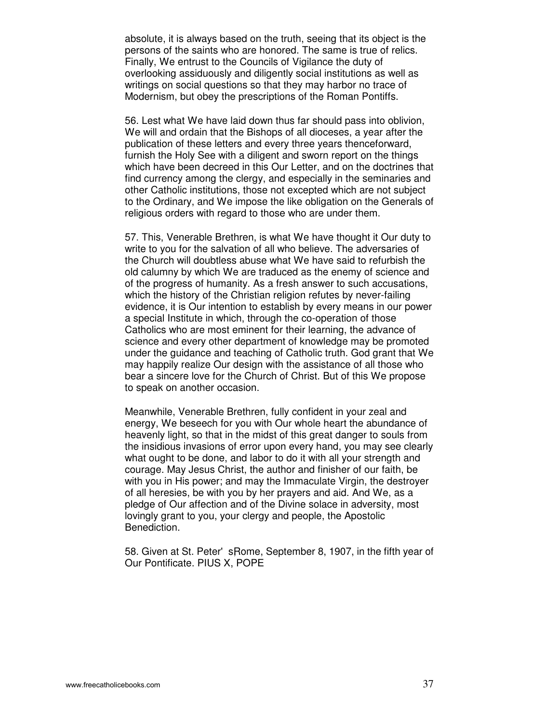absolute, it is always based on the truth, seeing that its object is the persons of the saints who are honored. The same is true of relics. Finally, We entrust to the Councils of Vigilance the duty of overlooking assiduously and diligently social institutions as well as writings on social questions so that they may harbor no trace of Modernism, but obey the prescriptions of the Roman Pontiffs.

56. Lest what We have laid down thus far should pass into oblivion, We will and ordain that the Bishops of all dioceses, a year after the publication of these letters and every three years thenceforward, furnish the Holy See with a diligent and sworn report on the things which have been decreed in this Our Letter, and on the doctrines that find currency among the clergy, and especially in the seminaries and other Catholic institutions, those not excepted which are not subject to the Ordinary, and We impose the like obligation on the Generals of religious orders with regard to those who are under them.

57. This, Venerable Brethren, is what We have thought it Our duty to write to you for the salvation of all who believe. The adversaries of the Church will doubtless abuse what We have said to refurbish the old calumny by which We are traduced as the enemy of science and of the progress of humanity. As a fresh answer to such accusations, which the history of the Christian religion refutes by never-failing evidence, it is Our intention to establish by every means in our power a special Institute in which, through the co-operation of those Catholics who are most eminent for their learning, the advance of science and every other department of knowledge may be promoted under the guidance and teaching of Catholic truth. God grant that We may happily realize Our design with the assistance of all those who bear a sincere love for the Church of Christ. But of this We propose to speak on another occasion.

Meanwhile, Venerable Brethren, fully confident in your zeal and energy, We beseech for you with Our whole heart the abundance of heavenly light, so that in the midst of this great danger to souls from the insidious invasions of error upon every hand, you may see clearly what ought to be done, and labor to do it with all your strength and courage. May Jesus Christ, the author and finisher of our faith, be with you in His power; and may the Immaculate Virgin, the destroyer of all heresies, be with you by her prayers and aid. And We, as a pledge of Our affection and of the Divine solace in adversity, most lovingly grant to you, your clergy and people, the Apostolic Benediction.

58. Given at St. Peter' sRome, September 8, 1907, in the fifth year of Our Pontificate. PIUS X, POPE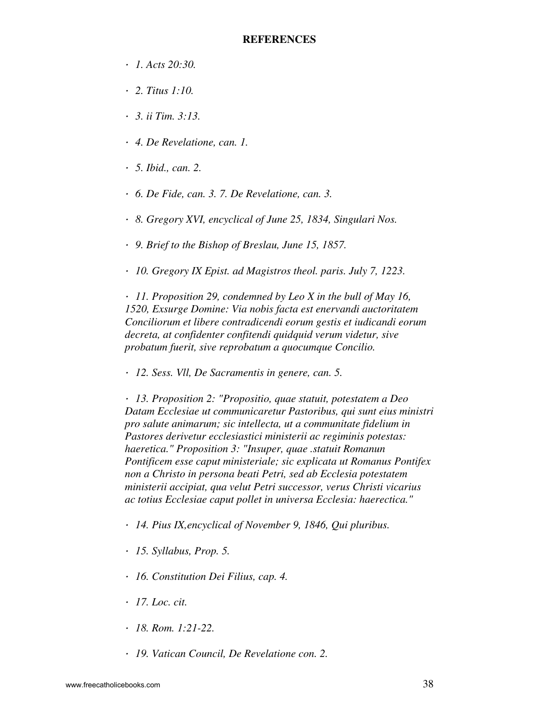#### **REFERENCES**

- *· 1. Acts 20:30.*
- *· 2. Titus 1:10.*
- *· 3. ii Tim. 3:13.*
- *· 4. De Revelatione, can. 1.*
- *· 5. Ibid., can. 2.*
- *· 6. De Fide, can. 3. 7. De Revelatione, can. 3.*
- *· 8. Gregory XVI, encyclical of June 25, 1834, Singulari Nos.*
- *· 9. Brief to the Bishop of Breslau, June 15, 1857.*
- *· 10. Gregory IX Epist. ad Magistros theol. paris. July 7, 1223.*

*· 11. Proposition 29, condemned by Leo X in the bull of May 16, 1520, Exsurge Domine: Via nobis facta est enervandi auctoritatem Conciliorum et libere contradicendi eorum gestis et iudicandi eorum decreta, at confidenter confitendi quidquid verum videtur, sive probatum fuerit, sive reprobatum a quocumque Concilio.*

*· 12. Sess. Vll, De Sacramentis in genere, can. 5.* 

*· 13. Proposition 2: "Propositio, quae statuit, potestatem a Deo Datam Ecclesiae ut communicaretur Pastoribus, qui sunt eius ministri pro salute animarum; sic intellecta, ut a communitate fidelium in Pastores derivetur ecclesiastici ministerii ac regiminis potestas: haeretica." Proposition 3: "Insuper, quae .statuit Romanun Pontificem esse caput ministeriale; sic explicata ut Romanus Pontifex non a Christo in persona beati Petri, sed ab Ecclesia potestatem ministerii accipiat, qua velut Petri successor, verus Christi vicarius ac totius Ecclesiae caput pollet in universa Ecclesia: haerectica."* 

- *· 14. Pius IX,encyclical of November 9, 1846, Qui pluribus.*
- *· 15. Syllabus, Prop. 5.*
- *· 16. Constitution Dei Filius, cap. 4.*
- *· 17. Loc. cit.*
- *· 18. Rom. 1:21-22.*
- *· 19. Vatican Council, De Revelatione con. 2.*